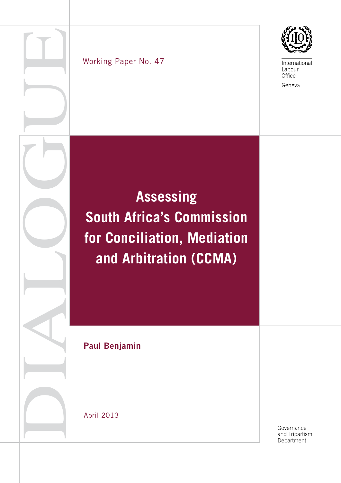



## Working Paper No. 47

# **Assessing South Africa's Commission for Conciliation, Mediation and Arbitration (CCMA)**

Paul Benjamin

April 2013

Governance and Tripartism<br>Department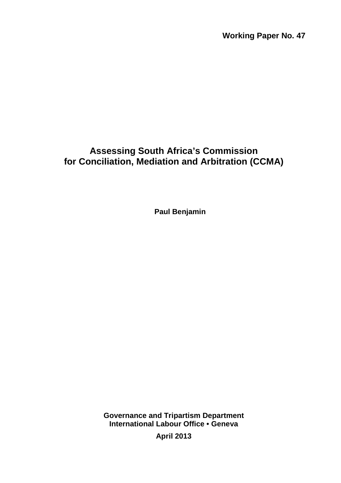**Working Paper No. 47** 

# **Assessing South Africa's Commission for Conciliation, Mediation and Arbitration (CCMA)**

**Paul Benjamin**

**Governance and Tripartism Department International Labour Office • Geneva** 

**April 2013**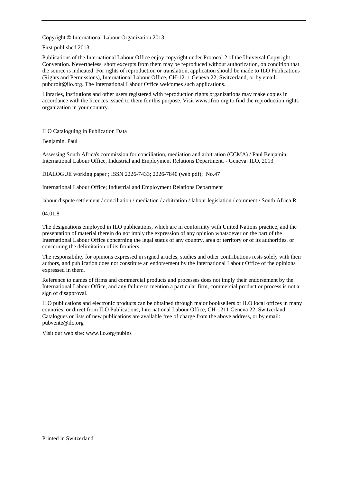Copyright © International Labour Organization 2013

First published 2013

Publications of the International Labour Office enjoy copyright under Protocol 2 of the Universal Copyright Convention. Nevertheless, short excerpts from them may be reproduced without authorization, on condition that the source is indicated. For rights of reproduction or translation, application should be made to ILO Publications (Rights and Permissions), International Labour Office, CH-1211 Geneva 22, Switzerland, or by email: pubdroit@ilo.org. The International Labour Office welcomes such applications.

Libraries, institutions and other users registered with reproduction rights organizations may make copies in accordance with the licences issued to them for this purpose. Visit www.ifrro.org to find the reproduction rights organization in your country.

#### ILO Cataloguing in Publication Data

Benjamin, Paul

Assessing South Africa's commission for conciliation, mediation and arbitration (CCMA) / Paul Benjamin; International Labour Office, Industrial and Employment Relations Department. - Geneva: ILO, 2013

DIALOGUE working paper ; ISSN 2226-7433; 2226-7840 (web pdf); No.47

International Labour Office; Industrial and Employment Relations Department

labour dispute settlement / conciliation / mediation / arbitration / labour legislation / comment / South Africa R

#### 04.01.8

The designations employed in ILO publications, which are in conformity with United Nations practice, and the presentation of material therein do not imply the expression of any opinion whatsoever on the part of the International Labour Office concerning the legal status of any country, area or territory or of its authorities, or concerning the delimitation of its frontiers

The responsibility for opinions expressed in signed articles, studies and other contributions rests solely with their authors, and publication does not constitute an endorsement by the International Labour Office of the opinions expressed in them.

Reference to names of firms and commercial products and processes does not imply their endorsement by the International Labour Office, and any failure to mention a particular firm, commercial product or process is not a sign of disapproval.

ILO publications and electronic products can be obtained through major booksellers or ILO local offices in many countries, or direct from ILO Publications, International Labour Office, CH-1211 Geneva 22, Switzerland. Catalogues or lists of new publications are available free of charge from the above address, or by email: pubvente@ilo.org

Visit our web site: www.ilo.org/publns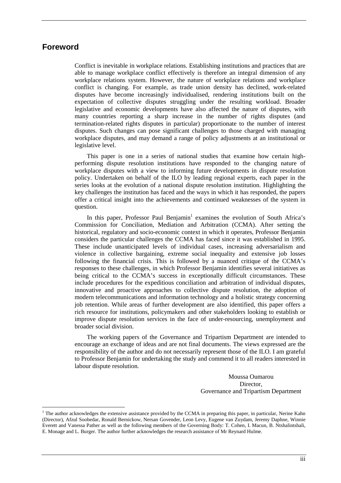## **Foreword**

 $\overline{a}$ 

Conflict is inevitable in workplace relations. Establishing institutions and practices that are able to manage workplace conflict effectively is therefore an integral dimension of any workplace relations system. However, the nature of workplace relations and workplace conflict is changing. For example, as trade union density has declined, work-related disputes have become increasingly individualised, rendering institutions built on the expectation of collective disputes struggling under the resulting workload. Broader legislative and economic developments have also affected the nature of disputes, with many countries reporting a sharp increase in the number of rights disputes (and termination-related rights disputes in particular) proportionate to the number of interest disputes. Such changes can pose significant challenges to those charged with managing workplace disputes, and may demand a range of policy adjustments at an institutional or legislative level.

This paper is one in a series of national studies that examine how certain highperforming dispute resolution institutions have responded to the changing nature of workplace disputes with a view to informing future developments in dispute resolution policy. Undertaken on behalf of the ILO by leading regional experts, each paper in the series looks at the evolution of a national dispute resolution institution. Highlighting the key challenges the institution has faced and the ways in which it has responded, the papers offer a critical insight into the achievements and continued weaknesses of the system in question.

In this paper, Professor Paul Benjamin<sup>1</sup> examines the evolution of South Africa's Commission for Conciliation, Mediation and Arbitration (CCMA). After setting the historical, regulatory and socio-economic context in which it operates, Professor Benjamin considers the particular challenges the CCMA has faced since it was established in 1995. These include unanticipated levels of individual cases, increasing adversarialism and violence in collective bargaining, extreme social inequality and extensive job losses following the financial crisis. This is followed by a nuanced critique of the CCMA's responses to these challenges, in which Professor Benjamin identifies several initiatives as being critical to the CCMA's success in exceptionally difficult circumstances. These include procedures for the expeditious conciliation and arbitration of individual disputes, innovative and proactive approaches to collective dispute resolution, the adoption of modern telecommunications and information technology and a holistic strategy concerning job retention. While areas of further development are also identified, this paper offers a rich resource for institutions, policymakers and other stakeholders looking to establish or improve dispute resolution services in the face of under-resourcing, unemployment and broader social division.

The working papers of the Governance and Tripartism Department are intended to encourage an exchange of ideas and are not final documents. The views expressed are the responsibility of the author and do not necessarily represent those of the ILO. I am grateful to Professor Benjamin for undertaking the study and commend it to all readers interested in labour dispute resolution.

> Moussa Oumarou Director, Governance and Tripartism Department

<sup>&</sup>lt;sup>1</sup> The author acknowledges the extensive assistance provided by the CCMA in preparing this paper, in particular, Nerine Kahn (Director), Afzul Soobedar, Ronald Bernickow, Nersan Govender, Leon Levy, Eugene van Zuydam, Jeremy Daphne, Winnie Everett and Vanessa Pather as well as the following members of the Governing Body: T. Cohen, I. Macun, B. Ntshalintshali, E. Monage and L. Burger. The author further acknowledges the research assistance of Mr Reynard Hulme.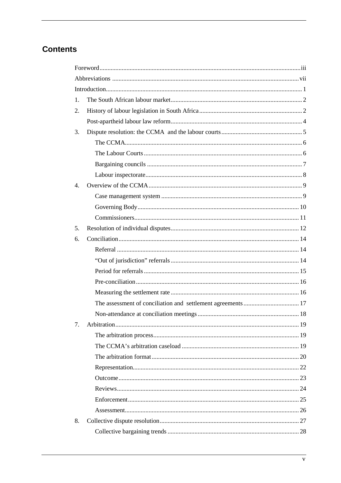# **Contents**

| 1.               |  |
|------------------|--|
| 2.               |  |
|                  |  |
| 3.               |  |
|                  |  |
|                  |  |
|                  |  |
|                  |  |
| $\overline{4}$ . |  |
|                  |  |
|                  |  |
|                  |  |
| 5.               |  |
| 6.               |  |
|                  |  |
|                  |  |
|                  |  |
|                  |  |
|                  |  |
|                  |  |
|                  |  |
| 7.               |  |
|                  |  |
|                  |  |
|                  |  |
|                  |  |
|                  |  |
|                  |  |
|                  |  |
|                  |  |
| 8.               |  |
|                  |  |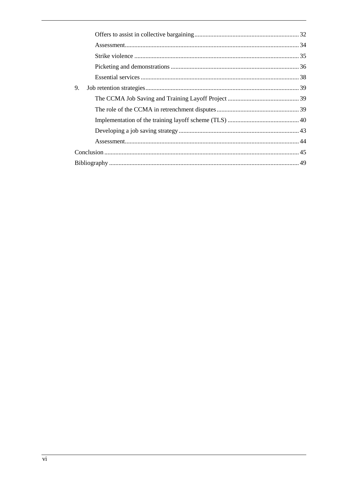| 9. |  |  |  |  |  |  |  |  |  |
|----|--|--|--|--|--|--|--|--|--|
|    |  |  |  |  |  |  |  |  |  |
|    |  |  |  |  |  |  |  |  |  |
|    |  |  |  |  |  |  |  |  |  |
|    |  |  |  |  |  |  |  |  |  |
|    |  |  |  |  |  |  |  |  |  |
|    |  |  |  |  |  |  |  |  |  |
|    |  |  |  |  |  |  |  |  |  |
|    |  |  |  |  |  |  |  |  |  |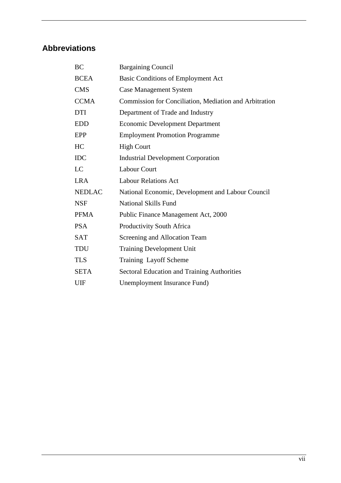# **Abbreviations**

| BC            | <b>Bargaining Council</b>                              |
|---------------|--------------------------------------------------------|
| <b>BCEA</b>   | <b>Basic Conditions of Employment Act</b>              |
| <b>CMS</b>    | <b>Case Management System</b>                          |
| <b>CCMA</b>   | Commission for Conciliation, Mediation and Arbitration |
| <b>DTI</b>    | Department of Trade and Industry                       |
| <b>EDD</b>    | <b>Economic Development Department</b>                 |
| EPP           | <b>Employment Promotion Programme</b>                  |
| HC            | <b>High Court</b>                                      |
| <b>IDC</b>    | <b>Industrial Development Corporation</b>              |
| LC            | <b>Labour Court</b>                                    |
| <b>LRA</b>    | <b>Labour Relations Act</b>                            |
| <b>NEDLAC</b> | National Economic, Development and Labour Council      |
| <b>NSF</b>    | <b>National Skills Fund</b>                            |
| <b>PFMA</b>   | Public Finance Management Act, 2000                    |
| <b>PSA</b>    | <b>Productivity South Africa</b>                       |
| <b>SAT</b>    | Screening and Allocation Team                          |
| <b>TDU</b>    | <b>Training Development Unit</b>                       |
| <b>TLS</b>    | Training Layoff Scheme                                 |
| <b>SETA</b>   | <b>Sectoral Education and Training Authorities</b>     |
| UIF           | Unemployment Insurance Fund)                           |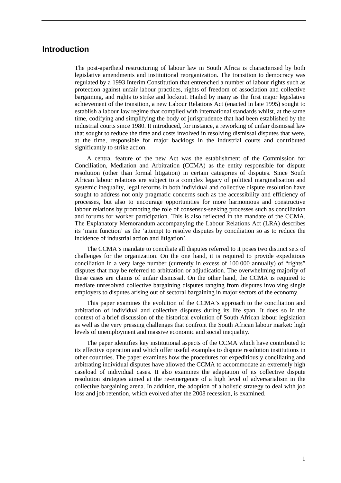## **Introduction**

The post-apartheid restructuring of labour law in South Africa is characterised by both legislative amendments and institutional reorganization. The transition to democracy was regulated by a 1993 Interim Constitution that entrenched a number of labour rights such as protection against unfair labour practices, rights of freedom of association and collective bargaining, and rights to strike and lockout. Hailed by many as the first major legislative achievement of the transition, a new Labour Relations Act (enacted in late 1995) sought to establish a labour law regime that complied with international standards whilst, at the same time, codifying and simplifying the body of jurisprudence that had been established by the industrial courts since 1980. It introduced, for instance, a reworking of unfair dismissal law that sought to reduce the time and costs involved in resolving dismissal disputes that were, at the time, responsible for major backlogs in the industrial courts and contributed significantly to strike action.

A central feature of the new Act was the establishment of the Commission for Conciliation, Mediation and Arbitration (CCMA) as the entity responsible for dispute resolution (other than formal litigation) in certain categories of disputes. Since South African labour relations are subject to a complex legacy of political marginalisation and systemic inequality, legal reforms in both individual and collective dispute resolution have sought to address not only pragmatic concerns such as the accessibility and efficiency of processes, but also to encourage opportunities for more harmonious and constructive labour relations by promoting the role of consensus-seeking processes such as conciliation and forums for worker participation. This is also reflected in the mandate of the CCMA. The Explanatory Memorandum accompanying the Labour Relations Act (LRA) describes its 'main function' as the 'attempt to resolve disputes by conciliation so as to reduce the incidence of industrial action and litigation'.

The CCMA's mandate to conciliate all disputes referred to it poses two distinct sets of challenges for the organization. On the one hand, it is required to provide expeditious conciliation in a very large number (currently in excess of 100 000 annually) of "rights" disputes that may be referred to arbitration or adjudication. The overwhelming majority of these cases are claims of unfair dismissal. On the other hand, the CCMA is required to mediate unresolved collective bargaining disputes ranging from disputes involving single employers to disputes arising out of sectoral bargaining in major sectors of the economy.

This paper examines the evolution of the CCMA's approach to the conciliation and arbitration of individual and collective disputes during its life span. It does so in the context of a brief discussion of the historical evolution of South African labour legislation as well as the very pressing challenges that confront the South African labour market: high levels of unemployment and massive economic and social inequality.

The paper identifies key institutional aspects of the CCMA which have contributed to its effective operation and which offer useful examples to dispute resolution institutions in other countries. The paper examines how the procedures for expeditiously conciliating and arbitrating individual disputes have allowed the CCMA to accommodate an extremely high caseload of individual cases. It also examines the adaptation of its collective dispute resolution strategies aimed at the re-emergence of a high level of adversarialism in the collective bargaining arena. In addition, the adoption of a holistic strategy to deal with job loss and job retention, which evolved after the 2008 recession, is examined.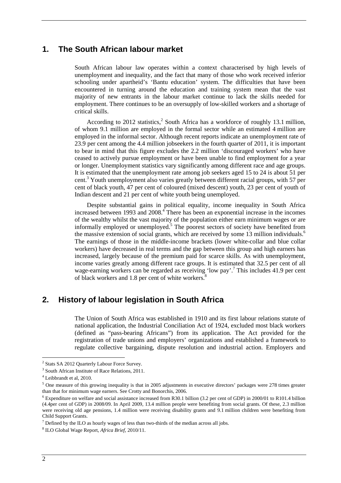## **1. The South African labour market**

South African labour law operates within a context characterised by high levels of unemployment and inequality, and the fact that many of those who work received inferior schooling under apartheid's 'Bantu education' system. The difficulties that have been encountered in turning around the education and training system mean that the vast majority of new entrants in the labour market continue to lack the skills needed for employment. There continues to be an oversupply of low-skilled workers and a shortage of critical skills.

According to 2012 statistics, $2$  South Africa has a workforce of roughly 13.1 million, of whom 9.1 million are employed in the formal sector while an estimated 4 million are employed in the informal sector. Although recent reports indicate an unemployment rate of 23.9 per cent among the 4.4 million jobseekers in the fourth quarter of 2011, it is important to bear in mind that this figure excludes the 2.2 million 'discouraged workers' who have ceased to actively pursue employment or have been unable to find employment for a year or longer. Unemployment statistics vary significantly among different race and age groups. It is estimated that the unemployment rate among job seekers aged 15 to 24 is about 51 per cent.<sup>3</sup> Youth unemployment also varies greatly between different racial groups, with 57 per cent of black youth, 47 per cent of coloured (mixed descent) youth, 23 per cent of youth of Indian descent and 21 per cent of white youth being unemployed.

Despite substantial gains in political equality, income inequality in South Africa increased between 1993 and  $2008$ .<sup> $\text{ }$ </sup> There has been an exponential increase in the incomes of the wealthy whilst the vast majority of the population either earn minimum wages or are informally employed or unemployed.<sup>5</sup> The poorest sectors of society have benefited from the massive extension of social grants, which are received by some 13 million individuals.<sup>6</sup> The earnings of those in the middle-income brackets (lower white-collar and blue collar workers) have decreased in real terms and the gap between this group and high earners has increased, largely because of the premium paid for scarce skills. As with unemployment, income varies greatly among different race groups. It is estimated that 32.5 per cent of all wage-earning workers can be regarded as receiving 'low pay'.<sup>7</sup> This includes 41.9 per cent of black workers and 1.8 per cent of white workers.<sup>8</sup>

## **2. History of labour legislation in South Africa**

The Union of South Africa was established in 1910 and its first labour relations statute of national application, the Industrial Conciliation Act of 1924, excluded most black workers (defined as "pass-bearing Africans") from its application. The Act provided for the registration of trade unions and employers' organizations and established a framework to regulate collective bargaining, dispute resolution and industrial action. Employers and

<sup>&</sup>lt;sup>2</sup> Stats SA 2012 Quarterly Labour Force Survey.

<sup>&</sup>lt;sup>3</sup> South African Institute of Race Relations, 2011.

<sup>4</sup> Leibbrandt et al, 2010.

 $<sup>5</sup>$  One measure of this growing inequality is that in 2005 adjustments in executive directors' packages were 278 times greater</sup> than that for minimum wage earners. See Crotty and Bonorchis, 2006.

<sup>&</sup>lt;sup>6</sup> Expenditure on welfare and social assistance increased from R30.1 billion (3.2 per cent of GDP) in 2000/01 to R101.4 billion (4.4per cent of GDP) in 2008/09. In April 2009, 13.4 million people were benefiting from social grants. Of these, 2.3 million were receiving old age pensions, 1.4 million were receiving disability grants and 9.1 million children were benefiting from Child Support Grants.

 $<sup>7</sup>$  Defined by the ILO as hourly wages of less than two-thirds of the median across all jobs.</sup>

<sup>8</sup> ILO Global Wage Report, *Africa Brief*, 2010/11.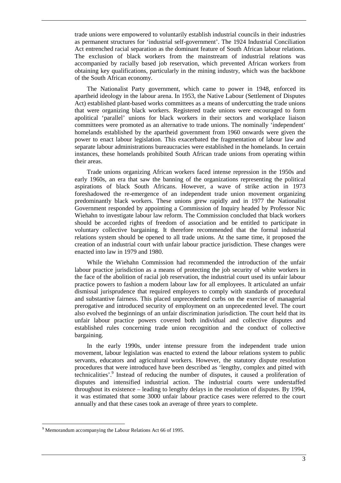trade unions were empowered to voluntarily establish industrial councils in their industries as permanent structures for 'industrial self-government'. The 1924 Industrial Conciliation Act entrenched racial separation as the dominant feature of South African labour relations. The exclusion of black workers from the mainstream of industrial relations was accompanied by racially based job reservation, which prevented African workers from obtaining key qualifications, particularly in the mining industry, which was the backbone of the South African economy.

The Nationalist Party government, which came to power in 1948, enforced its apartheid ideology in the labour arena. In 1953, the Native Labour (Settlement of Disputes Act) established plant-based works committees as a means of undercutting the trade unions that were organizing black workers. Registered trade unions were encouraged to form apolitical 'parallel' unions for black workers in their sectors and workplace liaison committees were promoted as an alternative to trade unions. The nominally 'independent' homelands established by the apartheid government from 1960 onwards were given the power to enact labour legislation. This exacerbated the fragmentation of labour law and separate labour administrations bureaucracies were established in the homelands. In certain instances, these homelands prohibited South African trade unions from operating within their areas.

Trade unions organizing African workers faced intense repression in the 1950s and early 1960s, an era that saw the banning of the organizations representing the political aspirations of black South Africans. However, a wave of strike action in 1973 foreshadowed the re-emergence of an independent trade union movement organizing predominantly black workers. These unions grew rapidly and in 1977 the Nationalist Government responded by appointing a Commission of Inquiry headed by Professor Nic Wiehahn to investigate labour law reform. The Commission concluded that black workers should be accorded rights of freedom of association and be entitled to participate in voluntary collective bargaining. It therefore recommended that the formal industrial relations system should be opened to all trade unions. At the same time, it proposed the creation of an industrial court with unfair labour practice jurisdiction. These changes were enacted into law in 1979 and 1980.

While the Wiehahn Commission had recommended the introduction of the unfair labour practice jurisdiction as a means of protecting the job security of white workers in the face of the abolition of racial job reservation, the industrial court used its unfair labour practice powers to fashion a modern labour law for all employees. It articulated an unfair dismissal jurisprudence that required employers to comply with standards of procedural and substantive fairness. This placed unprecedented curbs on the exercise of managerial prerogative and introduced security of employment on an unprecedented level. The court also evolved the beginnings of an unfair discrimination jurisdiction. The court held that its unfair labour practice powers covered both individual and collective disputes and established rules concerning trade union recognition and the conduct of collective bargaining.

In the early 1990s, under intense pressure from the independent trade union movement, labour legislation was enacted to extend the labour relations system to public servants, educators and agricultural workers. However, the statutory dispute resolution procedures that were introduced have been described as 'lengthy, complex and pitted with technicalities'.<sup>9</sup> Instead of reducing the number of disputes, it caused a proliferation of disputes and intensified industrial action. The industrial courts were understaffed throughout its existence – leading to lengthy delays in the resolution of disputes. By 1994, it was estimated that some 3000 unfair labour practice cases were referred to the court annually and that these cases took an average of three years to complete.

<sup>&</sup>lt;sup>9</sup> Memorandum accompanying the Labour Relations Act 66 of 1995.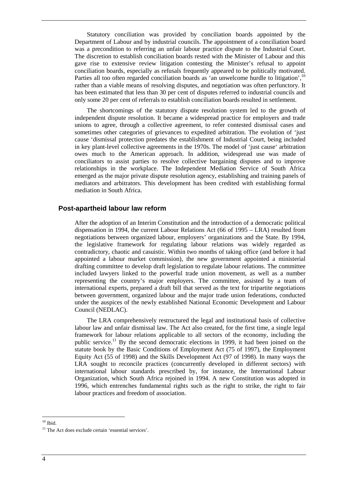Statutory conciliation was provided by conciliation boards appointed by the Department of Labour and by industrial councils. The appointment of a conciliation board was a precondition to referring an unfair labour practice dispute to the Industrial Court. The discretion to establish conciliation boards rested with the Minister of Labour and this gave rise to extensive review litigation contesting the Minister's refusal to appoint conciliation boards, especially as refusals frequently appeared to be politically motivated. Parties all too often regarded conciliation boards as 'an unwelcome hurdle to litigation',  $10$ rather than a viable means of resolving disputes, and negotiation was often perfunctory. It has been estimated that less than 30 per cent of disputes referred to industrial councils and only some 20 per cent of referrals to establish conciliation boards resulted in settlement.

The shortcomings of the statutory dispute resolution system led to the growth of independent dispute resolution. It became a widespread practice for employers and trade unions to agree, through a collective agreement, to refer contested dismissal cases and sometimes other categories of grievances to expedited arbitration. The evolution of 'just cause 'dismissal protection predates the establishment of Industrial Court, being included in key plant-level collective agreements in the 1970s. The model of 'just cause' arbitration owes much to the American approach. In addition, widespread use was made of conciliators to assist parties to resolve collective bargaining disputes and to improve relationships in the workplace. The Independent Mediation Service of South Africa emerged as the major private dispute resolution agency, establishing and training panels of mediators and arbitrators. This development has been credited with establishing formal mediation in South Africa.

#### **Post-apartheid labour law reform**

After the adoption of an Interim Constitution and the introduction of a democratic political dispensation in 1994, the current Labour Relations Act (66 of 1995 – LRA) resulted from negotiations between organized labour, employers' organizations and the State. By 1994, the legislative framework for regulating labour relations was widely regarded as contradictory, chaotic and casuistic. Within two months of taking office (and before it had appointed a labour market commission), the new government appointed a ministerial drafting committee to develop draft legislation to regulate labour relations. The committee included lawyers linked to the powerful trade union movement, as well as a number representing the country's major employers. The committee, assisted by a team of international experts, prepared a draft bill that served as the text for tripartite negotiations between government, organized labour and the major trade union federations, conducted under the auspices of the newly established National Economic Development and Labour Council (NEDLAC).

The LRA comprehensively restructured the legal and institutional basis of collective labour law and unfair dismissal law. The Act also created, for the first time, a single legal framework for labour relations applicable to all sectors of the economy, including the public service.<sup>11</sup> By the second democratic elections in 1999, it had been joined on the statute book by the Basic Conditions of Employment Act (75 of 1997), the Employment Equity Act (55 of 1998) and the Skills Development Act (97 of 1998). In many ways the LRA sought to reconcile practices (concurrently developed in different sectors) with international labour standards prescribed by, for instance, the International Labour Organization, which South Africa rejoined in 1994. A new Constitution was adopted in 1996, which entrenches fundamental rights such as the right to strike, the right to fair labour practices and freedom of association.

 $\overline{a}$  $10$  Ibid.

<sup>&</sup>lt;sup>11</sup> The Act does exclude certain 'essential services'.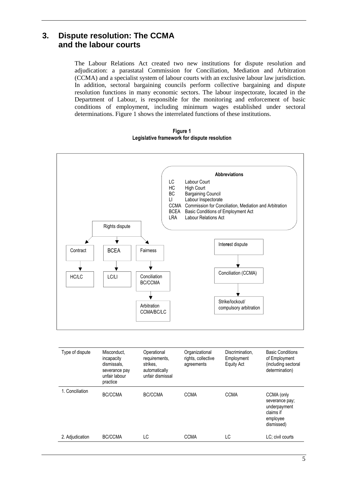## **3. Dispute resolution: The CCMA and the labour courts**

The Labour Relations Act created two new institutions for dispute resolution and adjudication: a parastatal Commission for Conciliation, Mediation and Arbitration (CCMA) and a specialist system of labour courts with an exclusive labour law jurisdiction. In addition, sectoral bargaining councils perform collective bargaining and dispute resolution functions in many economic sectors. The labour inspectorate, located in the Department of Labour, is responsible for the monitoring and enforcement of basic conditions of employment, including minimum wages established under sectoral determinations. Figure 1 shows the interrelated functions of these institutions.

**Figure 1 Legislative framework for dispute resolution** 



| Type of dispute | Misconduct,<br>incapacity<br>dismissals.<br>severance pay<br>unfair labour<br>practice | Operational<br>requirements,<br>strikes,<br>automatically<br>unfair dismissal | Organizational<br>rights, collective<br>agreements | Discrimination.<br>Employment<br><b>Equity Act</b> | <b>Basic Conditions</b><br>of Employment<br>(including sectoral<br>determination)   |
|-----------------|----------------------------------------------------------------------------------------|-------------------------------------------------------------------------------|----------------------------------------------------|----------------------------------------------------|-------------------------------------------------------------------------------------|
| 1. Conciliation | BC/CCMA                                                                                | BC/CCMA                                                                       | <b>CCMA</b>                                        | <b>CCMA</b>                                        | CCMA (only<br>severance pay;<br>underpayment<br>claims if<br>employee<br>dismissed) |
| 2. Adjudication | BC/CCMA                                                                                | LC                                                                            | <b>CCMA</b>                                        | LC                                                 | LC: civil courts                                                                    |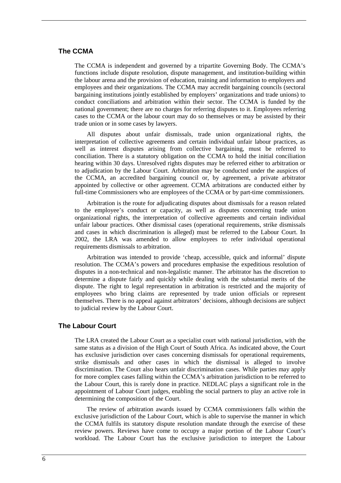#### **The CCMA**

The CCMA is independent and governed by a tripartite Governing Body. The CCMA's functions include dispute resolution, dispute management, and institution-building within the labour arena and the provision of education, training and information to employers and employees and their organizations. The CCMA may accredit bargaining councils (sectoral bargaining institutions jointly established by employers' organizations and trade unions) to conduct conciliations and arbitration within their sector. The CCMA is funded by the national government; there are no charges for referring disputes to it. Employees referring cases to the CCMA or the labour court may do so themselves or may be assisted by their trade union or in some cases by lawyers.

All disputes about unfair dismissals, trade union organizational rights, the interpretation of collective agreements and certain individual unfair labour practices, as well as interest disputes arising from collective bargaining, must be referred to conciliation. There is a statutory obligation on the CCMA to hold the initial conciliation hearing within 30 days. Unresolved rights disputes may be referred either to arbitration or to adjudication by the Labour Court. Arbitration may be conducted under the auspices of the CCMA, an accredited bargaining council or, by agreement, a private arbitrator appointed by collective or other agreement. CCMA arbitrations are conducted either by full-time Commissioners who are employees of the CCMA or by part-time commissioners.

Arbitration is the route for adjudicating disputes about dismissals for a reason related to the employee's conduct or capacity, as well as disputes concerning trade union organizational rights, the interpretation of collective agreements and certain individual unfair labour practices. Other dismissal cases (operational requirements, strike dismissals and cases in which discrimination is alleged) must be referred to the Labour Court. In 2002, the LRA was amended to allow employees to refer individual operational requirements dismissals to arbitration.

Arbitration was intended to provide 'cheap, accessible, quick and informal' dispute resolution. The CCMA's powers and procedures emphasise the expeditious resolution of disputes in a non-technical and non-legalistic manner. The arbitrator has the discretion to determine a dispute fairly and quickly while dealing with the substantial merits of the dispute. The right to legal representation in arbitration is restricted and the majority of employees who bring claims are represented by trade union officials or represent themselves. There is no appeal against arbitrators' decisions, although decisions are subject to judicial review by the Labour Court.

#### **The Labour Court**

The LRA created the Labour Court as a specialist court with national jurisdiction, with the same status as a division of the High Court of South Africa. As indicated above, the Court has exclusive jurisdiction over cases concerning dismissals for operational requirements, strike dismissals and other cases in which the dismissal is alleged to involve discrimination. The Court also hears unfair discrimination cases. While parties may apply for more complex cases falling within the CCMA's arbitration jurisdiction to be referred to the Labour Court, this is rarely done in practice. NEDLAC plays a significant role in the appointment of Labour Court judges, enabling the social partners to play an active role in determining the composition of the Court.

The review of arbitration awards issued by CCMA commissioners falls within the exclusive jurisdiction of the Labour Court, which is able to supervise the manner in which the CCMA fulfils its statutory dispute resolution mandate through the exercise of these review powers. Reviews have come to occupy a major portion of the Labour Court's workload. The Labour Court has the exclusive jurisdiction to interpret the Labour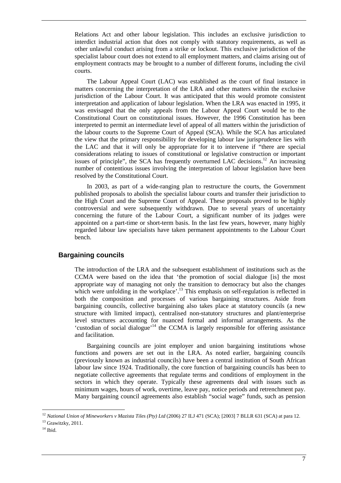Relations Act and other labour legislation. This includes an exclusive jurisdiction to interdict industrial action that does not comply with statutory requirements, as well as other unlawful conduct arising from a strike or lockout. This exclusive jurisdiction of the specialist labour court does not extend to all employment matters, and claims arising out of employment contracts may be brought to a number of different forums, including the civil courts.

The Labour Appeal Court (LAC) was established as the court of final instance in matters concerning the interpretation of the LRA and other matters within the exclusive jurisdiction of the Labour Court. It was anticipated that this would promote consistent interpretation and application of labour legislation. When the LRA was enacted in 1995, it was envisaged that the only appeals from the Labour Appeal Court would be to the Constitutional Court on constitutional issues. However, the 1996 Constitution has been interpreted to permit an intermediate level of appeal of all matters within the jurisdiction of the labour courts to the Supreme Court of Appeal (SCA). While the SCA has articulated the view that the primary responsibility for developing labour law jurisprudence lies with the LAC and that it will only be appropriate for it to intervene if "there are special considerations relating to issues of constitutional or legislative construction or important issues of principle", the SCA has frequently overturned LAC decisions.<sup>12</sup> An increasing number of contentious issues involving the interpretation of labour legislation have been resolved by the Constitutional Court.

In 2003, as part of a wide-ranging plan to restructure the courts, the Government published proposals to abolish the specialist labour courts and transfer their jurisdiction to the High Court and the Supreme Court of Appeal. These proposals proved to be highly controversial and were subsequently withdrawn. Due to several years of uncertainty concerning the future of the Labour Court, a significant number of its judges were appointed on a part-time or short-term basis. In the last few years, however, many highly regarded labour law specialists have taken permanent appointments to the Labour Court bench.

#### **Bargaining councils**

The introduction of the LRA and the subsequent establishment of institutions such as the CCMA were based on the idea that 'the promotion of social dialogue [is] the most appropriate way of managing not only the transition to democracy but also the changes which were unfolding in the workplace'.<sup>13</sup> This emphasis on self-regulation is reflected in both the composition and processes of various bargaining structures. Aside from bargaining councils, collective bargaining also takes place at statutory councils (a new structure with limited impact), centralised non-statutory structures and plant/enterprise level structures accounting for nuanced formal and informal arrangements. As the 'custodian of social dialogue'<sup>14</sup> the CCMA is largely responsible for offering assistance and facilitation.

Bargaining councils are joint employer and union bargaining institutions whose functions and powers are set out in the LRA. As noted earlier, bargaining councils (previously known as industrial councils) have been a central institution of South African labour law since 1924. Traditionally, the core function of bargaining councils has been to negotiate collective agreements that regulate terms and conditions of employment in the sectors in which they operate. Typically these agreements deal with issues such as minimum wages, hours of work, overtime, leave pay, notice periods and retrenchment pay. Many bargaining council agreements also establish "social wage" funds, such as pension

<sup>&</sup>lt;sup>12</sup> National Union of Mineworkers v Mazista Tiles (Pty) Ltd (2006) 27 ILJ 471 (SCA); [2003] 7 BLLR 631 (SCA) at para 12.

<sup>&</sup>lt;sup>13</sup> Grawitzky, 2011.

 $14$  Ibid.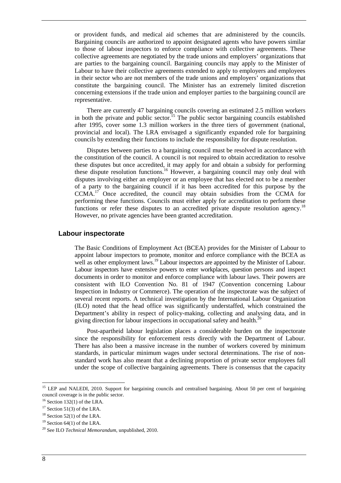or provident funds, and medical aid schemes that are administered by the councils. Bargaining councils are authorized to appoint designated agents who have powers similar to those of labour inspectors to enforce compliance with collective agreements. These collective agreements are negotiated by the trade unions and employers' organizations that are parties to the bargaining council. Bargaining councils may apply to the Minister of Labour to have their collective agreements extended to apply to employers and employees in their sector who are not members of the trade unions and employers' organizations that constitute the bargaining council. The Minister has an extremely limited discretion concerning extensions if the trade union and employer parties to the bargaining council are representative.

There are currently 47 bargaining councils covering an estimated 2.5 million workers in both the private and public sector.<sup>15</sup> The public sector bargaining councils established after 1995, cover some 1.3 million workers in the three tiers of government (national, provincial and local). The LRA envisaged a significantly expanded role for bargaining councils by extending their functions to include the responsibility for dispute resolution.

Disputes between parties to a bargaining council must be resolved in accordance with the constitution of the council. A council is not required to obtain accreditation to resolve these disputes but once accredited, it may apply for and obtain a subsidy for performing these dispute resolution functions.<sup>16</sup> However, a bargaining council may only deal with disputes involving either an employer or an employee that has elected not to be a member of a party to the bargaining council if it has been accredited for this purpose by the CCMA.<sup>17</sup> Once accredited, the council may obtain subsidies from the CCMA for performing these functions. Councils must either apply for accreditation to perform these functions or refer these disputes to an accredited private dispute resolution agency.<sup>18</sup> However, no private agencies have been granted accreditation.

#### **Labour inspectorate**

The Basic Conditions of Employment Act (BCEA) provides for the Minister of Labour to appoint labour inspectors to promote, monitor and enforce compliance with the BCEA as well as other employment laws.<sup>19</sup> Labour inspectors are appointed by the Minister of Labour. Labour inspectors have extensive powers to enter workplaces, question persons and inspect documents in order to monitor and enforce compliance with labour laws. Their powers are consistent with ILO Convention No. 81 of 1947 (Convention concerning Labour Inspection in Industry or Commerce). The operation of the inspectorate was the subject of several recent reports. A technical investigation by the International Labour Organization (ILO) noted that the head office was significantly understaffed, which constrained the Department's ability in respect of policy-making, collecting and analysing data, and in giving direction for labour inspections in occupational safety and health.<sup>20</sup>

Post-apartheid labour legislation places a considerable burden on the inspectorate since the responsibility for enforcement rests directly with the Department of Labour. There has also been a massive increase in the number of workers covered by minimum standards, in particular minimum wages under sectoral determinations. The rise of nonstandard work has also meant that a declining proportion of private sector employees fall under the scope of collective bargaining agreements. There is consensus that the capacity

<sup>&</sup>lt;sup>15</sup> LEP and NALEDI, 2010. Support for bargaining councils and centralised bargaining. About 50 per cent of bargaining council coverage is in the public sector.

 $16$  Section 132(1) of the LRA.

 $17$  Section 51(3) of the LRA.

 $18$  Section 52(1) of the LRA.

 $19$  Section 64(1) of the LRA.

<sup>20</sup> See ILO *Technical Memorandum*, unpublished, 2010.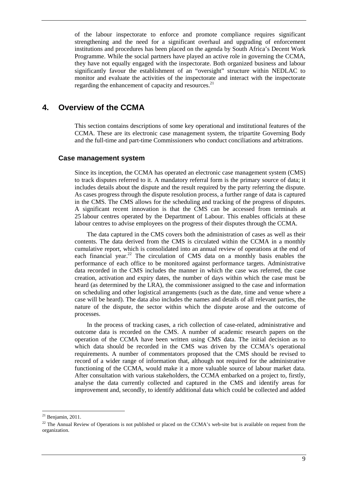of the labour inspectorate to enforce and promote compliance requires significant strengthening and the need for a significant overhaul and upgrading of enforcement institutions and procedures has been placed on the agenda by South Africa's Decent Work Programme. While the social partners have played an active role in governing the CCMA, they have not equally engaged with the inspectorate. Both organized business and labour significantly favour the establishment of an "oversight" structure within NEDLAC to monitor and evaluate the activities of the inspectorate and interact with the inspectorate regarding the enhancement of capacity and resources.<sup>21</sup>

## **4. Overview of the CCMA**

This section contains descriptions of some key operational and institutional features of the CCMA. These are its electronic case management system, the tripartite Governing Body and the full-time and part-time Commissioners who conduct conciliations and arbitrations.

#### **Case management system**

Since its inception, the CCMA has operated an electronic case management system (CMS) to track disputes referred to it. A mandatory referral form is the primary source of data; it includes details about the dispute and the result required by the party referring the dispute. As cases progress through the dispute resolution process, a further range of data is captured in the CMS. The CMS allows for the scheduling and tracking of the progress of disputes. A significant recent innovation is that the CMS can be accessed from terminals at 25 labour centres operated by the Department of Labour. This enables officials at these labour centres to advise employees on the progress of their disputes through the CCMA.

The data captured in the CMS covers both the administration of cases as well as their contents. The data derived from the CMS is circulated within the CCMA in a monthly cumulative report, which is consolidated into an annual review of operations at the end of each financial year.<sup>22</sup> The circulation of CMS data on a monthly basis enables the performance of each office to be monitored against performance targets. Administrative data recorded in the CMS includes the manner in which the case was referred, the case creation, activation and expiry dates, the number of days within which the case must be heard (as determined by the LRA), the commissioner assigned to the case and information on scheduling and other logistical arrangements (such as the date, time and venue where a case will be heard). The data also includes the names and details of all relevant parties, the nature of the dispute, the sector within which the dispute arose and the outcome of processes.

In the process of tracking cases, a rich collection of case-related, administrative and outcome data is recorded on the CMS. A number of academic research papers on the operation of the CCMA have been written using CMS data. The initial decision as to which data should be recorded in the CMS was driven by the CCMA's operational requirements. A number of commentators proposed that the CMS should be revised to record of a wider range of information that, although not required for the administrative functioning of the CCMA, would make it a more valuable source of labour market data. After consultation with various stakeholders, the CCMA embarked on a project to, firstly, analyse the data currently collected and captured in the CMS and identify areas for improvement and, secondly, to identify additional data which could be collected and added

 $21$  Benjamin, 2011.

<sup>&</sup>lt;sup>22</sup> The Annual Review of Operations is not published or placed on the CCMA's web-site but is available on request from the organization.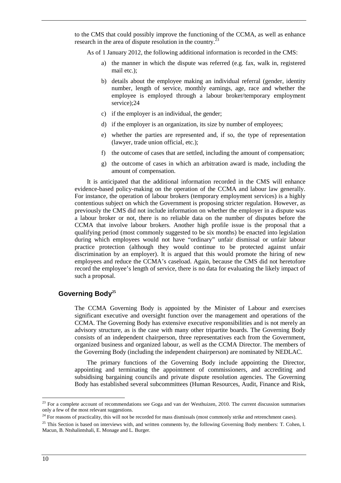to the CMS that could possibly improve the functioning of the CCMA, as well as enhance research in the area of dispute resolution in the country.<sup>2</sup>

As of 1 January 2012, the following additional information is recorded in the CMS:

- a) the manner in which the dispute was referred (e.g. fax, walk in, registered mail etc.);
- b) details about the employee making an individual referral (gender, identity number, length of service, monthly earnings, age, race and whether the employee is employed through a labour broker/temporary employment service);24
- c) if the employer is an individual, the gender;
- d) if the employer is an organization, its size by number of employees;
- e) whether the parties are represented and, if so, the type of representation (lawyer, trade union official, etc.);
- f) the outcome of cases that are settled, including the amount of compensation;
- g) the outcome of cases in which an arbitration award is made, including the amount of compensation.

It is anticipated that the additional information recorded in the CMS will enhance evidence-based policy-making on the operation of the CCMA and labour law generally. For instance, the operation of labour brokers (temporary employment services) is a highly contentious subject on which the Government is proposing stricter regulation. However, as previously the CMS did not include information on whether the employer in a dispute was a labour broker or not, there is no reliable data on the number of disputes before the CCMA that involve labour brokers. Another high profile issue is the proposal that a qualifying period (most commonly suggested to be six months) be enacted into legislation during which employees would not have "ordinary" unfair dismissal or unfair labour practice protection (although they would continue to be protected against unfair discrimination by an employer). It is argued that this would promote the hiring of new employees and reduce the CCMA's caseload. Again, because the CMS did not heretofore record the employee's length of service, there is no data for evaluating the likely impact of such a proposal.

#### **Governing Body<sup>25</sup>**

The CCMA Governing Body is appointed by the Minister of Labour and exercises significant executive and oversight function over the management and operations of the CCMA. The Governing Body has extensive executive responsibilities and is not merely an advisory structure, as is the case with many other tripartite boards. The Governing Body consists of an independent chairperson, three representatives each from the Government, organized business and organized labour, as well as the CCMA Director. The members of the Governing Body (including the independent chairperson) are nominated by NEDLAC.

The primary functions of the Governing Body include appointing the Director, appointing and terminating the appointment of commissioners, and accrediting and subsidising bargaining councils and private dispute resolution agencies. The Governing Body has established several subcommittees (Human Resources, Audit, Finance and Risk,

 $23$  For a complete account of recommendations see Goga and van der Westhuizen, 2010. The current discussion summarises only a few of the most relevant suggestions.

<sup>&</sup>lt;sup>24</sup> For reasons of practicality, this will not be recorded for mass dismissals (most commonly strike and retrenchment cases).

<sup>&</sup>lt;sup>25</sup> This Section is based on interviews with, and written comments by, the following Governing Body members: T. Cohen, I. Macun, B. Ntshalintshali, E. Monage and L. Burger.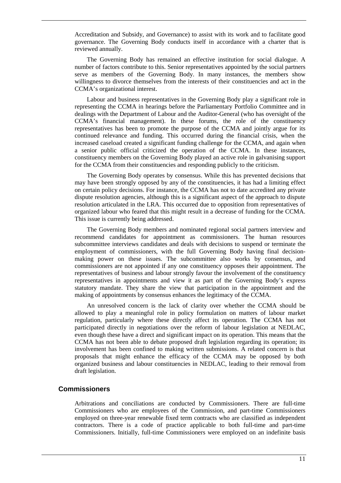Accreditation and Subsidy, and Governance) to assist with its work and to facilitate good governance. The Governing Body conducts itself in accordance with a charter that is reviewed annually.

The Governing Body has remained an effective institution for social dialogue. A number of factors contribute to this. Senior representatives appointed by the social partners serve as members of the Governing Body. In many instances, the members show willingness to divorce themselves from the interests of their constituencies and act in the CCMA's organizational interest.

Labour and business representatives in the Governing Body play a significant role in representing the CCMA in hearings before the Parliamentary Portfolio Committee and in dealings with the Department of Labour and the Auditor-General (who has oversight of the CCMA's financial management). In these forums, the role of the constituency representatives has been to promote the purpose of the CCMA and jointly argue for its continued relevance and funding. This occurred during the financial crisis, when the increased caseload created a significant funding challenge for the CCMA, and again when a senior public official criticized the operation of the CCMA. In these instances, constituency members on the Governing Body played an active role in galvanising support for the CCMA from their constituencies and responding publicly to the criticism.

The Governing Body operates by consensus. While this has prevented decisions that may have been strongly opposed by any of the constituencies, it has had a limiting effect on certain policy decisions. For instance, the CCMA has not to date accredited any private dispute resolution agencies, although this is a significant aspect of the approach to dispute resolution articulated in the LRA. This occurred due to opposition from representatives of organized labour who feared that this might result in a decrease of funding for the CCMA. This issue is currently being addressed.

The Governing Body members and nominated regional social partners interview and recommend candidates for appointment as commissioners. The human resources subcommittee interviews candidates and deals with decisions to suspend or terminate the employment of commissioners, with the full Governing Body having final decisionmaking power on these issues. The subcommittee also works by consensus, and commissioners are not appointed if any one constituency opposes their appointment. The representatives of business and labour strongly favour the involvement of the constituency representatives in appointments and view it as part of the Governing Body's express statutory mandate. They share the view that participation in the appointment and the making of appointments by consensus enhances the legitimacy of the CCMA.

An unresolved concern is the lack of clarity over whether the CCMA should be allowed to play a meaningful role in policy formulation on matters of labour market regulation, particularly where these directly affect its operation. The CCMA has not participated directly in negotiations over the reform of labour legislation at NEDLAC, even though these have a direct and significant impact on its operation. This means that the CCMA has not been able to debate proposed draft legislation regarding its operation; its involvement has been confined to making written submissions. A related concern is that proposals that might enhance the efficacy of the CCMA may be opposed by both organized business and labour constituencies in NEDLAC, leading to their removal from draft legislation.

#### **Commissioners**

Arbitrations and conciliations are conducted by Commissioners. There are full-time Commissioners who are employees of the Commission, and part-time Commissioners employed on three-year renewable fixed term contracts who are classified as independent contractors. There is a code of practice applicable to both full-time and part-time Commissioners. Initially, full-time Commissioners were employed on an indefinite basis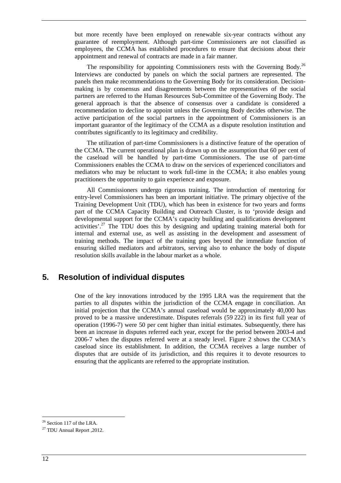but more recently have been employed on renewable six-year contracts without any guarantee of reemployment. Although part-time Commissioners are not classified as employees, the CCMA has established procedures to ensure that decisions about their appointment and renewal of contracts are made in a fair manner.

The responsibility for appointing Commissioners rests with the Governing Body.<sup>26</sup> Interviews are conducted by panels on which the social partners are represented. The panels then make recommendations to the Governing Body for its consideration. Decisionmaking is by consensus and disagreements between the representatives of the social partners are referred to the Human Resources Sub-Committee of the Governing Body. The general approach is that the absence of consensus over a candidate is considered a recommendation to decline to appoint unless the Governing Body decides otherwise. The active participation of the social partners in the appointment of Commissioners is an important guarantor of the legitimacy of the CCMA as a dispute resolution institution and contributes significantly to its legitimacy and credibility.

The utilization of part-time Commissioners is a distinctive feature of the operation of the CCMA. The current operational plan is drawn up on the assumption that 60 per cent of the caseload will be handled by part-time Commissioners. The use of part-time Commissioners enables the CCMA to draw on the services of experienced conciliators and mediators who may be reluctant to work full-time in the CCMA; it also enables young practitioners the opportunity to gain experience and exposure.

All Commissioners undergo rigorous training. The introduction of mentoring for entry-level Commissioners has been an important initiative. The primary objective of the Training Development Unit (TDU), which has been in existence for two years and forms part of the CCMA Capacity Building and Outreach Cluster, is to 'provide design and developmental support for the CCMA's capacity building and qualifications development activities'.<sup>27</sup> The TDU does this by designing and updating training material both for internal and external use, as well as assisting in the development and assessment of training methods. The impact of the training goes beyond the immediate function of ensuring skilled mediators and arbitrators, serving also to enhance the body of dispute resolution skills available in the labour market as a whole.

## **5. Resolution of individual disputes**

One of the key innovations introduced by the 1995 LRA was the requirement that the parties to all disputes within the jurisdiction of the CCMA engage in conciliation. An initial projection that the CCMA's annual caseload would be approximately 40,000 has proved to be a massive underestimate. Disputes referrals (59 222) in its first full year of operation (1996-7) were 50 per cent higher than initial estimates. Subsequently, there has been an increase in disputes referred each year, except for the period between 2003-4 and 2006-7 when the disputes referred were at a steady level. Figure 2 shows the CCMA's caseload since its establishment. In addition, the CCMA receives a large number of disputes that are outside of its jurisdiction, and this requires it to devote resources to ensuring that the applicants are referred to the appropriate institution.

<sup>&</sup>lt;sup>26</sup> Section 117 of the LRA.

<sup>27</sup> TDU Annual Report ,2012.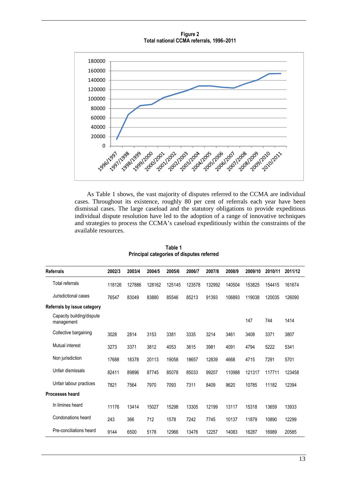**Figure 2 Total national CCMA referrals, 1996–2011** 



As Table 1 shows, the vast majority of disputes referred to the CCMA are individual cases. Throughout its existence, roughly 80 per cent of referrals each year have been dismissal cases. The large caseload and the statutory obligations to provide expeditious individual dispute resolution have led to the adoption of a range of innovative techniques and strategies to process the CCMA's caseload expeditiously within the constraints of the available resources.

|                             | <b>Referrals</b>                        | 2002/3 | 2003/4 | 2004/5 | 2005/6 | 2006/7 | 2007/8 | 2008/9 | 2009/10 | 2010/11 | 2011/12 |
|-----------------------------|-----------------------------------------|--------|--------|--------|--------|--------|--------|--------|---------|---------|---------|
|                             | <b>Total referrals</b>                  | 118126 | 127886 | 128162 | 125145 | 123578 | 132992 | 140504 | 153825  | 154415  | 161674  |
|                             | Jurisdictional cases                    | 76547  | 83049  | 83880  | 85546  | 85213  | 91393  | 106893 | 119038  | 120035  | 126090  |
| Referrals by issue category |                                         |        |        |        |        |        |        |        |         |         |         |
|                             | Capacity building/dispute<br>management |        |        |        |        |        |        |        | 147     | 744     | 1414    |
|                             | Collective bargaining                   | 3028   | 2814   | 3153   | 3381   | 3335   | 3214   | 3461   | 3408    | 3371    | 3807    |
|                             | Mutual interest                         | 3273   | 3371   | 3812   | 4053   | 3615   | 3981   | 4091   | 4794    | 5222    | 5341    |
|                             | Non jurisdiction                        | 17688  | 18378  | 20113  | 19058  | 18657  | 12839  | 4668   | 4715    | 7291    | 5701    |
|                             | Unfair dismissals                       | 82411  | 89896  | 87745  | 85078  | 85033  | 99207  | 110988 | 121317  | 117711  | 123458  |
|                             | Unfair labour practices                 | 7821   | 7564   | 7970   | 7093   | 7311   | 8409   | 9620   | 10785   | 11182   | 12394   |
|                             | <b>Processes heard</b>                  |        |        |        |        |        |        |        |         |         |         |
|                             | In limines heard                        | 11176  | 13414  | 15027  | 15298  | 13305  | 12199  | 13117  | 15318   | 13659   | 13933   |
|                             | Condonations heard                      | 243    | 366    | 712    | 1578   | 7242   | 7745   | 10137  | 11879   | 10890   | 12299   |
|                             | Pre-conciliations heard                 | 9144   | 6500   | 5178   | 12966  | 13476  | 12257  | 14083  | 16287   | 16989   | 20585   |

**Table 1 Principal categories of disputes referred**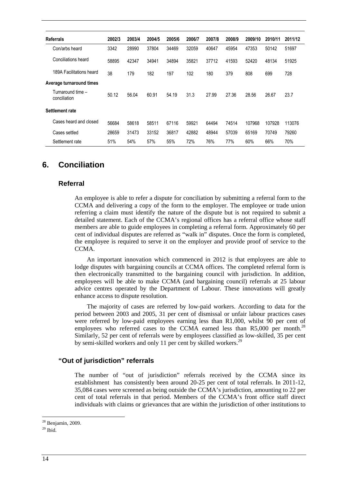| <b>Referrals</b>                  | 2002/3 | 2003/4 | 2004/5 | 2005/6 | 2006/7 | 2007/8 | 2008/9 | 2009/10 | 2010/11 | 2011/12 |
|-----------------------------------|--------|--------|--------|--------|--------|--------|--------|---------|---------|---------|
| Con/arbs heard                    | 3342   | 28990  | 37804  | 34469  | 32059  | 40647  | 45954  | 47353   | 50142   | 51697   |
| Conciliations heard               | 58895  | 42347  | 34941  | 34894  | 35821  | 37712  | 41593  | 52420   | 48134   | 51925   |
| 189A Facilitations heard          | 38     | 179    | 182    | 197    | 102    | 180    | 379    | 808     | 699     | 728     |
| Average turnaround times          |        |        |        |        |        |        |        |         |         |         |
| Turnaround time -<br>conciliation | 50.12  | 56.04  | 60.91  | 54.19  | 31.3   | 27.99  | 27.36  | 28.56   | 26.67   | 23.7    |
| Settlement rate                   |        |        |        |        |        |        |        |         |         |         |
| Cases heard and closed            | 56684  | 58618  | 58511  | 67116  | 59921  | 64494  | 74514  | 107968  | 107928  | 113076  |
| Cases settled                     | 28659  | 31473  | 33152  | 36817  | 42882  | 48944  | 57039  | 65169   | 70749   | 79260   |
| Settlement rate                   | 51%    | 54%    | 57%    | 55%    | 72%    | 76%    | 77%    | 60%     | 66%     | 70%     |

## **6. Conciliation**

#### **Referral**

An employee is able to refer a dispute for conciliation by submitting a referral form to the CCMA and delivering a copy of the form to the employer. The employee or trade union referring a claim must identify the nature of the dispute but is not required to submit a detailed statement. Each of the CCMA's regional offices has a referral office whose staff members are able to guide employees in completing a referral form. Approximately 60 per cent of individual disputes are referred as "walk in" disputes. Once the form is completed, the employee is required to serve it on the employer and provide proof of service to the CCMA.

An important innovation which commenced in 2012 is that employees are able to lodge disputes with bargaining councils at CCMA offices. The completed referral form is then electronically transmitted to the bargaining council with jurisdiction. In addition, employees will be able to make CCMA (and bargaining council) referrals at 25 labour advice centres operated by the Department of Labour. These innovations will greatly enhance access to dispute resolution.

The majority of cases are referred by low-paid workers. According to data for the period between 2003 and 2005, 31 per cent of dismissal or unfair labour practices cases were referred by low-paid employees earning less than R1,000, whilst 90 per cent of employees who referred cases to the CCMA earned less than  $R5,000$  per month.<sup>28</sup> Similarly, 52 per cent of referrals were by employees classified as low-skilled, 35 per cent by semi-skilled workers and only 11 per cent by skilled workers.<sup>29</sup>

#### **"Out of jurisdiction" referrals**

The number of "out of jurisdiction" referrals received by the CCMA since its establishment has consistently been around 20-25 per cent of total referrals. In 2011-12, 35,084 cases were screened as being outside the CCMA's jurisdiction, amounting to 22 per cent of total referrals in that period. Members of the CCMA's front office staff direct individuals with claims or grievances that are within the jurisdiction of other institutions to

<sup>&</sup>lt;sup>28</sup> Benjamin, 2009.

 $29$  Ibid.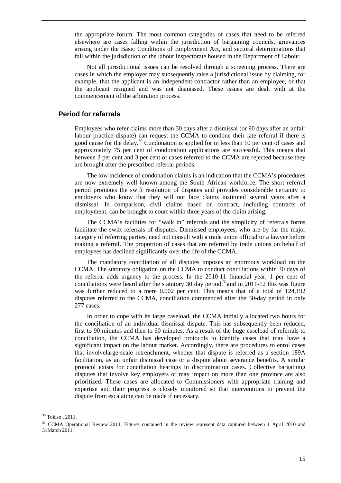the appropriate forum. The most common categories of cases that need to be referred elsewhere are cases falling within the jurisdiction of bargaining councils, grievances arising under the Basic Conditions of Employment Act, and sectoral determinations that fall within the jurisdiction of the labour inspectorate housed in the Department of Labour.

Not all jurisdictional issues can be resolved through a screening process. There are cases in which the employer may subsequently raise a jurisdictional issue by claiming, for example, that the applicant is an independent contractor rather than an employee, or that the applicant resigned and was not dismissed. These issues are dealt with at the commencement of the arbitration process.

#### **Period for referrals**

Employees who refer claims more than 30 days after a dismissal (or 90 days after an unfair labour practice dispute) can request the CCMA to condone their late referral if there is good cause for the delay.<sup>30</sup> Condonation is applied for in less than 10 per cent of cases and approximately 75 per cent of condonation applications are successful. This means that between 2 per cent and 3 per cent of cases referred to the CCMA are rejected because they are brought after the prescribed referral periods.

The low incidence of condonation claims is an indication that the CCMA's procedures are now extremely well known among the South African workforce. The short referral period promotes the swift resolution of disputes and provides considerable certainty to employers who know that they will not face claims instituted several years after a dismissal. In comparison, civil claims based on contract, including contracts of employment, can be brought to court within three years of the claim arising.

The CCMA's facilities for "walk in" referrals and the simplicity of referrals forms facilitate the swift referrals of disputes. Dismissed employees, who are by far the major category of referring parties, need not consult with a trade union official or a lawyer before making a referral. The proportion of cases that are referred by trade unions on behalf of employees has declined significantly over the life of the CCMA.

The mandatory conciliation of all disputes imposes an enormous workload on the CCMA. The statutory obligation on the CCMA to conduct conciliations within 30 days of the referral adds urgency to the process. In the 2010-11 financial year, 1 per cent of conciliations were heard after the statutory 30 day period, $31$  and in 2011-12 this was figure was further reduced to a mere 0.002 per cent. This means that of a total of 124,192 disputes referred to the CCMA, conciliation commenced after the 30-day period in only 277 cases.

In order to cope with its large caseload, the CCMA initially allocated two hours for the conciliation of an individual dismissal dispute. This has subsequently been reduced, first to 90 minutes and then to 60 minutes. As a result of the huge caseload of referrals to conciliation, the CCMA has developed protocols to identify cases that may have a significant impact on the labour market. Accordingly, there are procedures to enrol cases that involvelarge-scale retrenchment, whether that dispute is referred as a section 189A facilitation, as an unfair dismissal case or a dispute about severance benefits. A similar protocol exists for conciliation hearings in discrimination cases. Collective bargaining disputes that involve key employers or may impact on more than one province are also prioritized. These cases are allocated to Commissioners with appropriate training and expertise and their progress is closely monitored so that interventions to prevent the dispute from escalating can be made if necessary.

 $30$  Tokiso, 2011.

<sup>&</sup>lt;sup>31</sup> CCMA Operational Review 2011. Figures contained in the review represent data captured between 1 April 2010 and 31March 2011.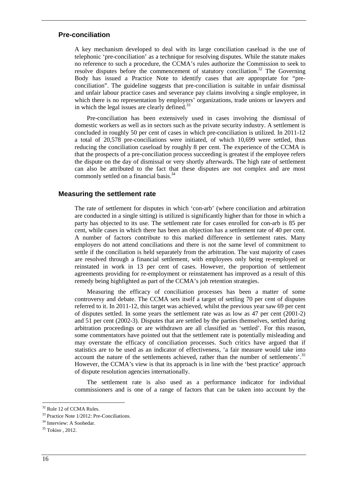#### **Pre-conciliation**

A key mechanism developed to deal with its large conciliation caseload is the use of telephonic 'pre-conciliation' as a technique for resolving disputes. While the statute makes no reference to such a procedure, the CCMA's rules authorize the Commission to seek to resolve disputes before the commencement of statutory conciliation.<sup>32</sup> The Governing Body has issued a Practice Note to identify cases that are appropriate for "preconciliation". The guideline suggests that pre-conciliation is suitable in unfair dismissal and unfair labour practice cases and severance pay claims involving a single employee, in which there is no representation by employers' organizations, trade unions or lawyers and in which the legal issues are clearly defined. $33$ 

Pre-conciliation has been extensively used in cases involving the dismissal of domestic workers as well as in sectors such as the private security industry. A settlement is concluded in roughly 50 per cent of cases in which pre-conciliation is utilized. In 2011-12 a total of 20,578 pre-conciliations were initiated, of which 10,699 were settled, thus reducing the conciliation caseload by roughly 8 per cent. The experience of the CCMA is that the prospects of a pre-conciliation process succeeding is greatest if the employee refers the dispute on the day of dismissal or very shortly afterwards. The high rate of settlement can also be attributed to the fact that these disputes are not complex and are most commonly settled on a financial basis.<sup>34</sup>

#### **Measuring the settlement rate**

The rate of settlement for disputes in which 'con-arb' (where conciliation and arbitration are conducted in a single sitting) is utilized is significantly higher than for those in which a party has objected to its use. The settlement rate for cases enrolled for con-arb is 85 per cent, while cases in which there has been an objection has a settlement rate of 40 per cent. A number of factors contribute to this marked difference in settlement rates. Many employers do not attend conciliations and there is not the same level of commitment to settle if the conciliation is held separately from the arbitration. The vast majority of cases are resolved through a financial settlement, with employees only being re-employed or reinstated in work in 13 per cent of cases. However, the proportion of settlement agreements providing for re-employment or reinstatement has improved as a result of this remedy being highlighted as part of the CCMA's job retention strategies.

Measuring the efficacy of conciliation processes has been a matter of some controversy and debate. The CCMA sets itself a target of settling 70 per cent of disputes referred to it. In 2011-12, this target was achieved, whilst the previous year saw 69 per cent of disputes settled. In some years the settlement rate was as low as 47 per cent (2001-2) and 51 per cent (2002-3). Disputes that are settled by the parties themselves, settled during arbitration proceedings or are withdrawn are all classified as 'settled'. For this reason, some commentators have pointed out that the settlement rate is potentially misleading and may overstate the efficacy of conciliation processes. Such critics have argued that if statistics are to be used as an indicator of effectiveness, 'a fair measure would take into account the nature of the settlements achieved, rather than the number of settlements'.<sup>35</sup> However, the CCMA's view is that its approach is in line with the 'best practice' approach of dispute resolution agencies internationally.

The settlement rate is also used as a performance indicator for individual commissioners and is one of a range of factors that can be taken into account by the

<sup>&</sup>lt;sup>32</sup> Rule 12 of CCMA Rules.

<sup>&</sup>lt;sup>33</sup> Practice Note 1/2012: Pre-Conciliations.

<sup>&</sup>lt;sup>34</sup> Interview: A Soobedar.

<sup>&</sup>lt;sup>35</sup> Tokiso, 2012.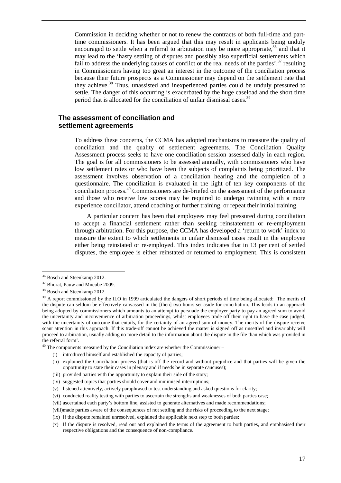Commission in deciding whether or not to renew the contracts of both full-time and parttime commissioners. It has been argued that this may result in applicants being unduly encouraged to settle when a referral to arbitration may be more appropriate, $36$  and that it may lead to the 'hasty settling of disputes and possibly also superficial settlements which fail to address the underlying causes of conflict or the real needs of the parties',  $37$  resulting in Commissioners having too great an interest in the outcome of the conciliation process because their future prospects as a Commissioner may depend on the settlement rate that they achieve.<sup>38</sup> Thus, unassisted and inexperienced parties could be unduly pressured to settle. The danger of this occurring is exacerbated by the huge caseload and the short time period that is allocated for the conciliation of unfair dismissal cases.<sup>39</sup>

#### **The assessment of conciliation and settlement agreements**

To address these concerns, the CCMA has adopted mechanisms to measure the quality of conciliation and the quality of settlement agreements. The Conciliation Quality Assessment process seeks to have one conciliation session assessed daily in each region. The goal is for all commissioners to be assessed annually, with commissioners who have low settlement rates or who have been the subjects of complaints being prioritized. The assessment involves observation of a conciliation hearing and the completion of a questionnaire. The conciliation is evaluated in the light of ten key components of the conciliation process.<sup>40</sup> Commissioners are de-briefed on the assessment of the performance and those who receive low scores may be required to undergo twinning with a more experience conciliator, attend coaching or further training, or repeat their initial training.

A particular concern has been that employees may feel pressured during conciliation to accept a financial settlement rather than seeking reinstatement or re-employment through arbitration. For this purpose, the CCMA has developed a 'return to work' index to measure the extent to which settlements in unfair dismissal cases result in the employee either being reinstated or re-employed. This index indicates that in 13 per cent of settled disputes, the employee is either reinstated or returned to employment. This is consistent

 $\overline{a}$ 

 $40$  The components measured by the Conciliation index are whether the Commissioner –

<sup>&</sup>lt;sup>36</sup> Bosch and Steenkamp 2012.

<sup>&</sup>lt;sup>37</sup> Bhorat, Pauw and Mncube 2009.

<sup>&</sup>lt;sup>38</sup> Bosch and Steenkamp 2012.

<sup>&</sup>lt;sup>39</sup> A report commissioned by the ILO in 1999 articulated the dangers of short periods of time being allocated: 'The merits of the dispute can seldom be effectively canvassed in the [then] two hours set aside for conciliation. This leads to an approach being adopted by commissioners which amounts to an attempt to persuade the employer party to pay an agreed sum to avoid the uncertainty and inconvenience of arbitration proceedings, whilst employees trade off their right to have the case judged, with the uncertainty of outcome that entails, for the certainty of an agreed sum of money. The merits of the dispute receive scant attention in this approach. If this trade-off cannot be achieved the matter is signed off as unsettled and invariably will proceed to arbitration, usually adding no more detail to the information about the dispute in the file than which was provided in the referral form'.

<sup>(</sup>i) introduced himself and established the capacity of parties;

<sup>(</sup>ii) explained the Conciliation process (that is off the record and without prejudice and that parties will be given the opportunity to state their cases in plenary and if needs be in separate caucuses);

<sup>(</sup>iii) provided parties with the opportunity to explain their side of the story;

<sup>(</sup>iv) suggested topics that parties should cover and minimised interruptions;

<sup>(</sup>v) listened attentively, actively paraphrased to test understanding and asked questions for clarity;

<sup>(</sup>vi) conducted reality testing with parties to ascertain the strengths and weaknesses of both parties case;

<sup>(</sup>vii) ascertained each party's bottom line, assisted to generate alternatives and made recommendations;

<sup>(</sup>viii)made parties aware of the consequences of not settling and the risks of proceeding to the next stage;

<sup>(</sup>ix) If the dispute remained unresolved, explained the applicable next step to both parties;

<sup>(</sup>x) If the dispute is resolved, read out and explained the terms of the agreement to both parties, and emphasised their respective obligations and the consequence of non-compliance.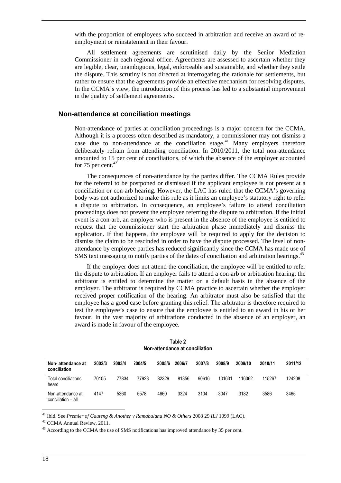with the proportion of employees who succeed in arbitration and receive an award of reemployment or reinstatement in their favour.

All settlement agreements are scrutinised daily by the Senior Mediation Commissioner in each regional office. Agreements are assessed to ascertain whether they are legible, clear, unambiguous, legal, enforceable and sustainable, and whether they settle the dispute. This scrutiny is not directed at interrogating the rationale for settlements, but rather to ensure that the agreements provide an effective mechanism for resolving disputes. In the CCMA's view, the introduction of this process has led to a substantial improvement in the quality of settlement agreements.

#### **Non-attendance at conciliation meetings**

Non-attendance of parties at conciliation proceedings is a major concern for the CCMA. Although it is a process often described as mandatory, a commissioner may not dismiss a case due to non-attendance at the conciliation stage.<sup>41</sup> Many employers therefore deliberately refrain from attending conciliation. In 2010/2011, the total non-attendance amounted to 15 per cent of conciliations, of which the absence of the employer accounted for 75 per cent. $42$ 

The consequences of non-attendance by the parties differ. The CCMA Rules provide for the referral to be postponed or dismissed if the applicant employee is not present at a conciliation or con-arb hearing. However, the LAC has ruled that the CCMA's governing body was not authorized to make this rule as it limits an employee's statutory right to refer a dispute to arbitration. In consequence, an employee's failure to attend conciliation proceedings does not prevent the employee referring the dispute to arbitration. If the initial event is a con-arb, an employer who is present in the absence of the employee is entitled to request that the commissioner start the arbitration phase immediately and dismiss the application. If that happens, the employee will be required to apply for the decision to dismiss the claim to be rescinded in order to have the dispute processed. The level of nonattendance by employee parties has reduced significantly since the CCMA has made use of SMS text messaging to notify parties of the dates of conciliation and arbitration hearings.<sup>43</sup>

If the employer does not attend the conciliation, the employee will be entitled to refer the dispute to arbitration. If an employer fails to attend a con-arb or arbitration hearing, the arbitrator is entitled to determine the matter on a default basis in the absence of the employer. The arbitrator is required by CCMA practice to ascertain whether the employer received proper notification of the hearing. An arbitrator must also be satisfied that the employee has a good case before granting this relief. The arbitrator is therefore required to test the employee's case to ensure that the employee is entitled to an award in his or her favour. In the vast majority of arbitrations conducted in the absence of an employer, an award is made in favour of the employee.

| Non-attendance at<br>conciliation       | 2002/3 | 2003/4 | 2004/5 | 2005/6 | 2006/7 | 2007/8 | 2008/9 | 2009/10 | 2010/11 | 2011/12 |
|-----------------------------------------|--------|--------|--------|--------|--------|--------|--------|---------|---------|---------|
| Total conciliations<br>heard            | 70105  | 77834  | 77923  | 82329  | 81356  | 90616  | 101631 | 116062  | 115267  | 124208  |
| Non-attendance at<br>conciliation - all | 4147   | 5360   | 5578   | 4660   | 3324   | 3104   | 3047   | 3182    | 3586    | 3465    |

**Table 2 Non-attendance at conciliation** 

<sup>41</sup> Ibid. See *Premier of Gauteng & Another v Ramabulana NO & Others* 2008 29 *ILJ* 1099 (LAC).

<sup>42</sup> CCMA Annual Review, 2011.

 $43$  According to the CCMA the use of SMS notifications has improved attendance by 35 per cent.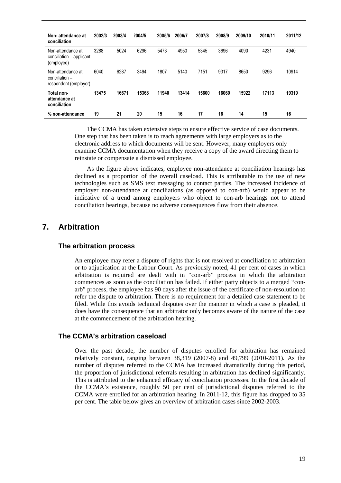| Non-attendance at<br>conciliation                            | 2002/3 | 2003/4 | 2004/5 | 2005/6 | 2006/7 | 2007/8 | 2008/9 | 2009/10 | 2010/11 | 2011/12 |
|--------------------------------------------------------------|--------|--------|--------|--------|--------|--------|--------|---------|---------|---------|
| Non-attendance at<br>conciliation - applicant<br>(employee)  | 3288   | 5024   | 6296   | 5473   | 4950   | 5345   | 3696   | 4090    | 4231    | 4940    |
| Non-attendance at<br>conciliation -<br>respondent (employer) | 6040   | 6287   | 3494   | 1807   | 5140   | 7151   | 9317   | 8650    | 9296    | 10914   |
| Total non-<br>attendance at<br>conciliation                  | 13475  | 16671  | 15368  | 11940  | 13414  | 15600  | 16060  | 15922   | 17113   | 19319   |
| % non-attendance                                             | 19     | 21     | 20     | 15     | 16     | 17     | 16     | 14      | 15      | 16      |

The CCMA has taken extensive steps to ensure effective service of case documents. One step that has been taken is to reach agreements with large employers as to the electronic address to which documents will be sent. However, many employers only examine CCMA documentation when they receive a copy of the award directing them to reinstate or compensate a dismissed employee.

As the figure above indicates, employee non-attendance at conciliation hearings has declined as a proportion of the overall caseload. This is attributable to the use of new technologies such as SMS text messaging to contact parties. The increased incidence of employer non-attendance at conciliations (as opposed to con-arb) would appear to be indicative of a trend among employers who object to con-arb hearings not to attend conciliation hearings, because no adverse consequences flow from their absence.

## **7. Arbitration**

#### **The arbitration process**

An employee may refer a dispute of rights that is not resolved at conciliation to arbitration or to adjudication at the Labour Court. As previously noted, 41 per cent of cases in which arbitration is required are dealt with in "con-arb" process in which the arbitration commences as soon as the conciliation has failed. If either party objects to a merged "conarb" process, the employee has 90 days after the issue of the certificate of non-resolution to refer the dispute to arbitration. There is no requirement for a detailed case statement to be filed. While this avoids technical disputes over the manner in which a case is pleaded, it does have the consequence that an arbitrator only becomes aware of the nature of the case at the commencement of the arbitration hearing.

#### **The CCMA's arbitration caseload**

Over the past decade, the number of disputes enrolled for arbitration has remained relatively constant, ranging between 38,319 (2007-8) and 49,799 (2010-2011). As the number of disputes referred to the CCMA has increased dramatically during this period, the proportion of jurisdictional referrals resulting in arbitration has declined significantly. This is attributed to the enhanced efficacy of conciliation processes. In the first decade of the CCMA's existence, roughly 50 per cent of jurisdictional disputes referred to the CCMA were enrolled for an arbitration hearing. In 2011-12, this figure has dropped to 35 per cent. The table below gives an overview of arbitration cases since 2002-2003.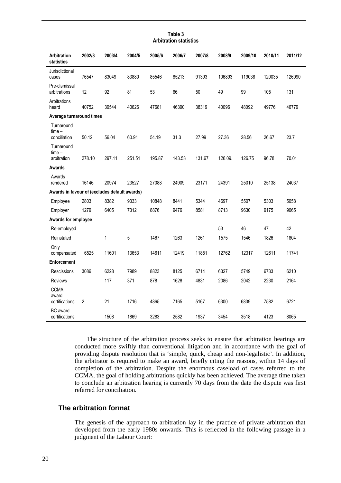#### **Table 3 Arbitration statistics**

| Arbitration<br>statistics                     | 2002/3         | 2003/4       | 2004/5 | 2005/6 | 2006/7 | 2007/8 | 2008/9  | 2009/10 | 2010/11 | 2011/12 |
|-----------------------------------------------|----------------|--------------|--------|--------|--------|--------|---------|---------|---------|---------|
| Jurisdictional<br>cases                       | 76547          | 83049        | 83880  | 85546  | 85213  | 91393  | 106893  | 119038  | 120035  | 126090  |
| Pre-dismissal<br>arbitrations                 | 12             | 92           | 81     | 53     | 66     | 50     | 49      | 99      | 105     | 131     |
| Arbitrations<br>heard                         | 40752          | 39544        | 40626  | 47681  | 46390  | 38319  | 40096   | 48092   | 49776   | 46779   |
| Average turnaround times                      |                |              |        |        |        |        |         |         |         |         |
| Turnaround<br>$time -$                        |                |              |        |        |        |        |         |         |         |         |
| conciliation                                  | 50.12          | 56.04        | 60.91  | 54.19  | 31.3   | 27.99  | 27.36   | 28.56   | 26.67   | 23.7    |
| Turnaround<br>$time -$<br>arbitration         | 278.10         | 297.11       | 251.51 | 195.87 | 143.53 | 131.67 | 126.09. | 126.75  | 96.78   | 70.01   |
| Awards                                        |                |              |        |        |        |        |         |         |         |         |
| Awards<br>rendered                            | 16146          | 20974        | 23527  | 27088  | 24909  | 23171  | 24391   | 25010   | 25138   | 24037   |
| Awards in favour of (excludes default awards) |                |              |        |        |        |        |         |         |         |         |
| Employee                                      | 2803           | 8382         | 9333   | 10848  | 8441   | 5344   | 4697    | 5507    | 5303    | 5058    |
| Employer                                      | 1279           | 6405         | 7312   | 8876   | 9476   | 8581   | 8713    | 9630    | 9175    | 9065    |
| Awards for employee                           |                |              |        |        |        |        |         |         |         |         |
| Re-employed                                   |                |              |        |        |        |        | 53      | 46      | 47      | 42      |
| Reinstated                                    |                | $\mathbf{1}$ | 5      | 1467   | 1263   | 1261   | 1575    | 1546    | 1826    | 1804    |
| Only<br>compensated                           | 6525           | 11601        | 13653  | 14611  | 12419  | 11851  | 12762   | 12317   | 12611   | 11741   |
| Enforcement                                   |                |              |        |        |        |        |         |         |         |         |
| Rescissions                                   | 3086           | 6228         | 7989   | 8823   | 8125   | 6714   | 6327    | 5749    | 6733    | 6210    |
| <b>Reviews</b>                                |                | 117          | 371    | 878    | 1628   | 4831   | 2086    | 2042    | 2230    | 2164    |
| <b>CCMA</b><br>award<br>certifications        | $\overline{2}$ | 21           | 1716   | 4865   | 7165   | 5167   | 6300    | 6839    | 7582    | 6721    |
| <b>BC</b> award<br>certifications             |                | 1508         | 1869   | 3283   | 2582   | 1937   | 3454    | 3518    | 4123    | 8065    |

The structure of the arbitration process seeks to ensure that arbitration hearings are conducted more swiftly than conventional litigation and in accordance with the goal of providing dispute resolution that is 'simple, quick, cheap and non-legalistic'. In addition, the arbitrator is required to make an award, briefly citing the reasons, within 14 days of completion of the arbitration. Despite the enormous caseload of cases referred to the CCMA, the goal of holding arbitrations quickly has been achieved. The average time taken to conclude an arbitration hearing is currently 70 days from the date the dispute was first referred for conciliation.

#### **The arbitration format**

The genesis of the approach to arbitration lay in the practice of private arbitration that developed from the early 1980s onwards. This is reflected in the following passage in a judgment of the Labour Court: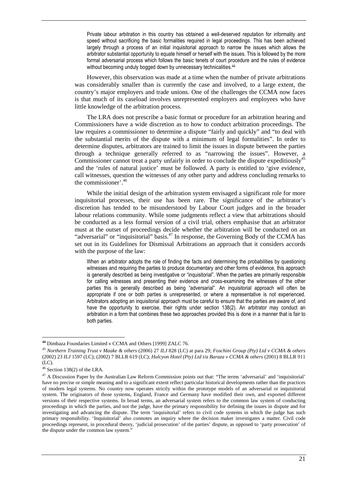Private labour arbitration in this country has obtained a well-deserved reputation for informality and speed without sacrificing the basic formalities required in legal proceedings. This has been achieved largely through a process of an initial inquisitorial approach to narrow the issues which allows the arbitrator substantial opportunity to equate himself or herself with the issues. This is followed by the more formal adversarial process which follows the basic tenets of court procedure and the rules of evidence without becoming unduly bogged down by unnecessary technicalities.<sup>44</sup>

However, this observation was made at a time when the number of private arbitrations was considerably smaller than is currently the case and involved, to a large extent, the country's major employers and trade unions. One of the challenges the CCMA now faces is that much of its caseload involves unrepresented employers and employees who have little knowledge of the arbitration process.

The LRA does not prescribe a basic format or procedure for an arbitration hearing and Commissioners have a wide discretion as to how to conduct arbitration proceedings. The law requires a commissioner to determine a dispute "fairly and quickly" and "to deal with the substantial merits of the dispute with a minimum of legal formalities". In order to determine disputes, arbitrators are trained to limit the issues in dispute between the parties through a technique generally referred to as "narrowing the issues". However, a Commissioner cannot treat a party unfairly in order to conclude the dispute expeditiously<sup>45</sup> and the 'rules of natural justice' must be followed. A party is entitled to 'give evidence, call witnesses, question the witnesses of any other party and address concluding remarks to the commissioner'.<sup>46</sup>

While the initial design of the arbitration system envisaged a significant role for more inquisitorial processes, their use has been rare. The significance of the arbitrator's discretion has tended to be misunderstood by Labour Court judges and in the broader labour relations community. While some judgments reflect a view that arbitrations should be conducted as a less formal version of a civil trial, others emphasise that an arbitrator must at the outset of proceedings decide whether the arbitration will be conducted on an "adversarial" or "inquisitorial" basis.<sup>47</sup> In response, the Governing Body of the CCMA has set out in its Guidelines for Dismissal Arbitrations an approach that it considers accords with the purpose of the law:

When an arbitrator adopts the role of finding the facts and determining the probabilities by questioning witnesses and requiring the parties to produce documentary and other forms of evidence, this approach is generally described as being investigative or "inquisitorial". When the parties are primarily responsible for calling witnesses and presenting their evidence and cross-examining the witnesses of the other parties this is generally described as being "adversarial". An inquisitorial approach will often be appropriate if one or both parties is unrepresented, or where a representative is not experienced. Arbitrators adopting an inquisitorial approach must be careful to ensure that the parties are aware of, and have the opportunity to exercise, their rights under section 138(2). An arbitrator may conduct an arbitration in a form that combines these two approaches provided this is done in a manner that is fair to both parties.

**<sup>44</sup>** Dimbaza Foundaries Limited v CCMA and Others [1999] ZALC 76.

<sup>45</sup> *Northern Training Trust v Maake & others* (2006) 27 *ILJ* 828 (LC) at para 29; *Foschini Group (Pty) Ltd v CCMA & others* (2002) 23 *ILJ* 1597 (LC); (2002) 7 BLLR 619 (LC); *Halcyon Hotel (Pty) Ltd t/a Baraza v CCMA & others* (2001) 8 BLLR 911 (LC).

 $46$  Section 138(2) of the LRA.

<sup>47</sup> A Discussion Paper by the Australian Law Reform Commission points out that: "The terms 'adversarial' and 'inquisitorial' have no precise or simple meaning and to a significant extent reflect particular historical developments rather than the practices of modern legal systems. No country now operates strictly within the prototype models of an adversarial or inquisitorial system. The originators of those systems, England, France and Germany have modified their own, and exported different versions of their respective systems. In broad terms, an adversarial system refers to the common law system of conducting proceedings in which the parties, and not the judge, have the primary responsibility for defining the issues in dispute and for investigating and advancing the dispute. The term 'inquisitorial' refers to civil code systems in which the judge has such primary responsibility. 'Inquisitorial' also connotes an inquiry where the decision maker investigates a matter. Civil code proceedings represent, in procedural theory, 'judicial prosecution' of the parties' dispute, as opposed to 'party prosecution' of the dispute under the common law system."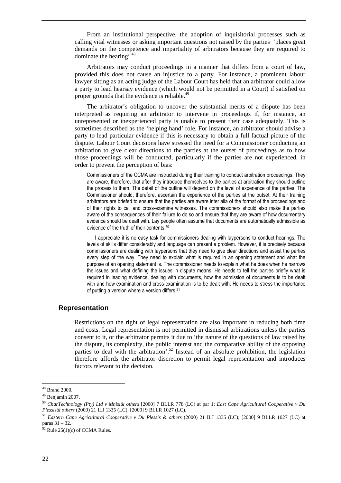From an institutional perspective, the adoption of inquisitorial processes such as calling vital witnesses or asking important questions not raised by the parties 'places great demands on the competence and impartiality of arbitrators because they are required to dominate the hearing<sup> $3.48$ </sup>

Arbitrators may conduct proceedings in a manner that differs from a court of law, provided this does not cause an injustice to a party. For instance, a prominent labour lawyer sitting as an acting judge of the Labour Court has held that an arbitrator could allow a party to lead hearsay evidence (which would not be permitted in a Court) if satisfied on proper grounds that the evidence is reliable.<sup>49</sup>

The arbitrator's obligation to uncover the substantial merits of a dispute has been interpreted as requiring an arbitrator to intervene in proceedings if, for instance, an unrepresented or inexperienced party is unable to present their case adequately. This is sometimes described as the 'helping hand' role. For instance, an arbitrator should advise a party to lead particular evidence if this is necessary to obtain a full factual picture of the dispute. Labour Court decisions have stressed the need for a Commissioner conducting an arbitration to give clear directions to the parties at the outset of proceedings as to how those proceedings will be conducted, particularly if the parties are not experienced, in order to prevent the perception of bias:

Commissioners of the CCMA are instructed during their training to conduct arbitration proceedings. They are aware, therefore, that after they introduce themselves to the parties at arbitration they should outline the process to them. The detail of the outline will depend on the level of experience of the parties. The Commissioner should, therefore, ascertain the experience of the parties at the outset. At their training arbitrators are briefed to ensure that the parties are aware inter alia of the format of the proceedings and of their rights to call and cross-examine witnesses. The commissioners should also make the parties aware of the consequences of their failure to do so and ensure that they are aware of how documentary evidence should be dealt with. Lay people often assume that documents are automatically admissible as evidence of the truth of their contents.<sup>50</sup>

I appreciate it is no easy task for commissioners dealing with laypersons to conduct hearings. The levels of skills differ considerably and language can present a problem. However, it is precisely because commissioners are dealing with laypersons that they need to give clear directions and assist the parties every step of the way. They need to explain what is required in an opening statement and what the purpose of an opening statement is. The commissioner needs to explain what he does when he narrows the issues and what defining the issues in dispute means. He needs to tell the parties briefly what is required in leading evidence, dealing with documents, how the admission of documents is to be dealt with and how examination and cross-examination is to be dealt with. He needs to stress the importance of putting a version where a version differs.<sup>51</sup>

#### **Representation**

Restrictions on the right of legal representation are also important in reducing both time and costs. Legal representation is not permitted in dismissal arbitrations unless the parties consent to it, or the arbitrator permits it due to 'the nature of the questions of law raised by the dispute, its complexity, the public interest and the comparative ability of the opposing parties to deal with the arbitration'.<sup>52</sup> Instead of an absolute prohibition, the legislation therefore affords the arbitrator discretion to permit legal representation and introduces factors relevant to the decision.

<sup>48</sup> Brand 2000.

<sup>49</sup> Benjamin 2007.

<sup>50</sup> *CharTechnology (Pty) Ltd v Mnisi& others* [2000] 7 BLLR 778 (LC) at par 1; *East Cape Agricultural Cooperative v Du Plessis& others* (2000) 21 ILJ 1335 (LC); [2000] 9 BLLR 1027 (LC).

<sup>51</sup> *Eastern Cape Agricultural Cooperative v Du Plessis & others* (2000) 21 ILJ 1335 (LC); [2000] 9 BLLR 1027 (LC) at paras 31 – 32.

 $52$  Rule 25(1)(c) of CCMA Rules.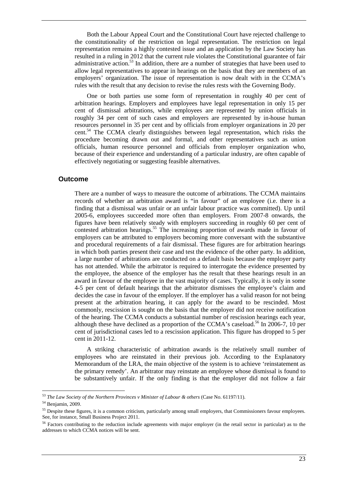Both the Labour Appeal Court and the Constitutional Court have rejected challenge to the constitutionality of the restriction on legal representation. The restriction on legal representation remains a highly contested issue and an application by the Law Society has resulted in a ruling in 2012 that the current rule violates the Constitutional guarantee of fair administrative action.<sup>53</sup> In addition, there are a number of strategies that have been used to allow legal representatives to appear in hearings on the basis that they are members of an employers' organization. The issue of representation is now dealt with in the CCMA's rules with the result that any decision to revise the rules rests with the Governing Body.

One or both parties use some form of representation in roughly 40 per cent of arbitration hearings. Employers and employees have legal representation in only 15 per cent of dismissal arbitrations, while employees are represented by union officials in roughly 34 per cent of such cases and employers are represented by in-house human resources personnel in 35 per cent and by officials from employer organizations in 20 per cent.<sup>54</sup> The CCMA clearly distinguishes between legal representation, which risks the procedure becoming drawn out and formal, and other representatives such as union officials, human resource personnel and officials from employer organization who, because of their experience and understanding of a particular industry, are often capable of effectively negotiating or suggesting feasible alternatives.

#### **Outcome**

There are a number of ways to measure the outcome of arbitrations. The CCMA maintains records of whether an arbitration award is "in favour" of an employee (i.e. there is a finding that a dismissal was unfair or an unfair labour practice was committed). Up until 2005-6, employees succeeded more often than employers. From 2007-8 onwards, the figures have been relatively steady with employers succeeding in roughly 60 per cent of contested arbitration hearings.<sup>55</sup> The increasing proportion of awards made in favour of employers can be attributed to employers becoming more conversant with the substantive and procedural requirements of a fair dismissal. These figures are for arbitration hearings in which both parties present their case and test the evidence of the other party. In addition, a large number of arbitrations are conducted on a default basis because the employer party has not attended. While the arbitrator is required to interrogate the evidence presented by the employee, the absence of the employer has the result that these hearings result in an award in favour of the employee in the vast majority of cases. Typically, it is only in some 4-5 per cent of default hearings that the arbitrator dismisses the employee's claim and decides the case in favour of the employer. If the employer has a valid reason for not being present at the arbitration hearing, it can apply for the award to be rescinded. Most commonly, rescission is sought on the basis that the employer did not receive notification of the hearing. The CCMA conducts a substantial number of rescission hearings each year, although these have declined as a proportion of the CCMA's caseload.<sup>56</sup> In 2006-7, 10 per cent of jurisdictional cases led to a rescission application. This figure has dropped to 5 per cent in 2011-12.

A striking characteristic of arbitration awards is the relatively small number of employees who are reinstated in their previous job. According to the Explanatory Memorandum of the LRA, the main objective of the system is to achieve 'reinstatement as the primary remedy'. An arbitrator may reinstate an employee whose dismissal is found to be substantively unfair. If the only finding is that the employer did not follow a fair

<sup>53</sup> *The Law Society of the Northern Provinces v Minister of Labour & others* (Case No. 61197/11).

<sup>54</sup> Benjamin, 2009.

<sup>&</sup>lt;sup>55</sup> Despite these figures, it is a common criticism, particularly among small employers, that Commissioners favour employees. See, for instance, Small Business Project 2011.

<sup>&</sup>lt;sup>56</sup> Factors contributing to the reduction include agreements with major employer (in the retail sector in particular) as to the addresses to which CCMA notices will be sent.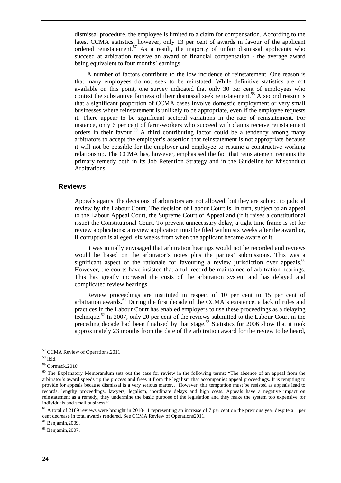dismissal procedure, the employee is limited to a claim for compensation. According to the latest CCMA statistics, however, only 13 per cent of awards in favour of the applicant ordered reinstatement.<sup>57</sup> As a result, the majority of unfair dismissal applicants who succeed at arbitration receive an award of financial compensation - the average award being equivalent to four months' earnings.

A number of factors contribute to the low incidence of reinstatement. One reason is that many employees do not seek to be reinstated. While definitive statistics are not available on this point, one survey indicated that only 30 per cent of employees who contest the substantive fairness of their dismissal seek reinstatement.<sup>58</sup> A second reason is that a significant proportion of CCMA cases involve domestic employment or very small businesses where reinstatement is unlikely to be appropriate, even if the employee requests it. There appear to be significant sectoral variations in the rate of reinstatement. For instance, only 6 per cent of farm-workers who succeed with claims receive reinstatement orders in their favour.<sup>59</sup> A third contributing factor could be a tendency among many arbitrators to accept the employer's assertion that reinstatement is not appropriate because it will not be possible for the employer and employee to resume a constructive working relationship. The CCMA has, however, emphasised the fact that reinstatement remains the primary remedy both in its Job Retention Strategy and in the Guideline for Misconduct Arbitrations.

#### **Reviews**

Appeals against the decisions of arbitrators are not allowed, but they are subject to judicial review by the Labour Court. The decision of Labour Court is, in turn, subject to an appeal to the Labour Appeal Court, the Supreme Court of Appeal and (if it raises a constitutional issue) the Constitutional Court. To prevent unnecessary delay, a tight time frame is set for review applications: a review application must be filed within six weeks after the award or, if corruption is alleged, six weeks from when the applicant became aware of it.

It was initially envisaged that arbitration hearings would not be recorded and reviews would be based on the arbitrator's notes plus the parties' submissions. This was a significant aspect of the rationale for favouring a review jurisdiction over appeals.<sup>60</sup> However, the courts have insisted that a full record be maintained of arbitration hearings. This has greatly increased the costs of the arbitration system and has delayed and complicated review hearings.

Review proceedings are instituted in respect of 10 per cent to 15 per cent of arbitration awards.<sup>61</sup> During the first decade of the CCMA's existence, a lack of rules and practices in the Labour Court has enabled employers to use these proceedings as a delaying technique.<sup>62</sup> In 2007, only 20 per cent of the reviews submitted to the Labour Court in the preceding decade had been finalised by that stage.<sup>63</sup> Statistics for 2006 show that it took approximately 23 months from the date of the arbitration award for the review to be heard,

 $62$  Benjamin, 2009.

 $\overline{a}$ <sup>57</sup> CCMA Review of Operations, 2011.

<sup>58</sup> Ibid.

<sup>59</sup> Cormack,2010.

<sup>&</sup>lt;sup>60</sup> The Explanatory Memorandum sets out the case for review in the following terms: "The absence of an appeal from the arbitrator's award speeds up the process and frees it from the legalism that accompanies appeal proceedings. It is tempting to provide for appeals because dismissal is a very serious matter… However, this temptation must be resisted as appeals lead to records, lengthy proceedings, lawyers, legalism, inordinate delays and high costs. Appeals have a negative impact on reinstatement as a remedy, they undermine the basic purpose of the legislation and they make the system too expensive for individuals and small business."

<sup>&</sup>lt;sup>61</sup> A total of 2189 reviews were brought in 2010-11 representing an increase of 7 per cent on the previous year despite a 1 per cent decrease in total awards rendered. See CCMA Review of Operations2011.

 $63$  Benjamin, 2007.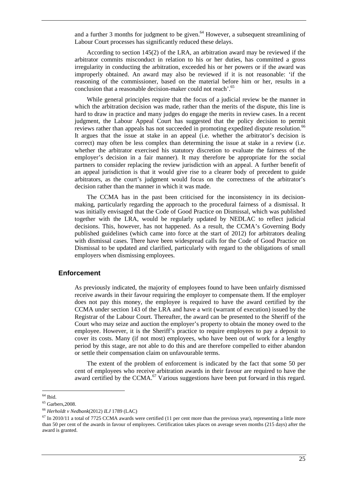and a further 3 months for judgment to be given. $64$  However, a subsequent streamlining of Labour Court processes has significantly reduced these delays.

According to section 145(2) of the LRA, an arbitration award may be reviewed if the arbitrator commits misconduct in relation to his or her duties, has committed a gross irregularity in conducting the arbitration, exceeded his or her powers or if the award was improperly obtained. An award may also be reviewed if it is not reasonable: 'if the reasoning of the commissioner, based on the material before him or her, results in a conclusion that a reasonable decision-maker could not reach'.<sup>65</sup>

While general principles require that the focus of a judicial review be the manner in which the arbitration decision was made, rather than the merits of the dispute, this line is hard to draw in practice and many judges do engage the merits in review cases. In a recent judgment, the Labour Appeal Court has suggested that the policy decision to permit reviews rather than appeals has not succeeded in promoting expedited dispute resolution.<sup>66</sup> It argues that the issue at stake in an appeal (i.e. whether the arbitrator's decision is correct) may often be less complex than determining the issue at stake in a review (i.e. whether the arbitrator exercised his statutory discretion to evaluate the fairness of the employer's decision in a fair manner). It may therefore be appropriate for the social partners to consider replacing the review jurisdiction with an appeal. A further benefit of an appeal jurisdiction is that it would give rise to a clearer body of precedent to guide arbitrators, as the court's judgment would focus on the correctness of the arbitrator's decision rather than the manner in which it was made.

The CCMA has in the past been criticised for the inconsistency in its decisionmaking, particularly regarding the approach to the procedural fairness of a dismissal. It was initially envisaged that the Code of Good Practice on Dismissal, which was published together with the LRA, would be regularly updated by NEDLAC to reflect judicial decisions. This, however, has not happened. As a result, the CCMA's Governing Body published guidelines (which came into force at the start of 2012) for arbitrators dealing with dismissal cases. There have been widespread calls for the Code of Good Practice on Dismissal to be updated and clarified, particularly with regard to the obligations of small employers when dismissing employees.

#### **Enforcement**

As previously indicated, the majority of employees found to have been unfairly dismissed receive awards in their favour requiring the employer to compensate them. If the employer does not pay this money, the employee is required to have the award certified by the CCMA under section 143 of the LRA and have a writ (warrant of execution) issued by the Registrar of the Labour Court. Thereafter, the award can be presented to the Sheriff of the Court who may seize and auction the employer's property to obtain the money owed to the employee. However, it is the Sheriff's practice to require employees to pay a deposit to cover its costs. Many (if not most) employees, who have been out of work for a lengthy period by this stage, are not able to do this and are therefore compelled to either abandon or settle their compensation claim on unfavourable terms.

The extent of the problem of enforcement is indicated by the fact that some 50 per cent of employees who receive arbitration awards in their favour are required to have the award certified by the CCMA.<sup>67</sup> Various suggestions have been put forward in this regard.

<sup>64</sup> Ibid.

<sup>65</sup> Garbers,2008.

<sup>66</sup> *Herholdt v Nedbank*(2012) *ILJ* 1789 (LAC)

 $^{67}$  In 2010/11 a total of 7725 CCMA awards were certified (11 per cent more than the previous year), representing a little more than 50 per cent of the awards in favour of employees. Certification takes places on average seven months (215 days) after the award is granted.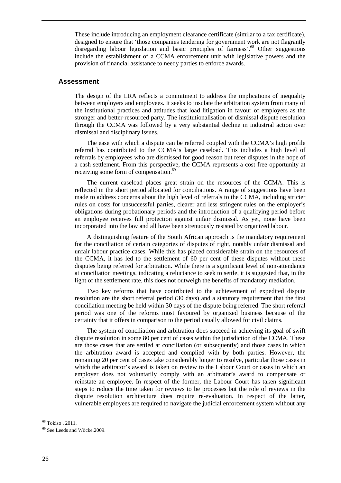These include introducing an employment clearance certificate (similar to a tax certificate), designed to ensure that 'those companies tendering for government work are not flagrantly disregarding labour legislation and basic principles of fairness'.<sup>68</sup> Other suggestions include the establishment of a CCMA enforcement unit with legislative powers and the provision of financial assistance to needy parties to enforce awards.

#### **Assessment**

The design of the LRA reflects a commitment to address the implications of inequality between employers and employees. It seeks to insulate the arbitration system from many of the institutional practices and attitudes that load litigation in favour of employers as the stronger and better-resourced party. The institutionalisation of dismissal dispute resolution through the CCMA was followed by a very substantial decline in industrial action over dismissal and disciplinary issues.

The ease with which a dispute can be referred coupled with the CCMA's high profile referral has contributed to the CCMA's large caseload. This includes a high level of referrals by employees who are dismissed for good reason but refer disputes in the hope of a cash settlement. From this perspective, the CCMA represents a cost free opportunity at receiving some form of compensation.<sup>69</sup>

The current caseload places great strain on the resources of the CCMA. This is reflected in the short period allocated for conciliations. A range of suggestions have been made to address concerns about the high level of referrals to the CCMA, including stricter rules on costs for unsuccessful parties, clearer and less stringent rules on the employer's obligations during probationary periods and the introduction of a qualifying period before an employee receives full protection against unfair dismissal. As yet, none have been incorporated into the law and all have been strenuously resisted by organized labour.

A distinguishing feature of the South African approach is the mandatory requirement for the conciliation of certain categories of disputes of right, notably unfair dismissal and unfair labour practice cases. While this has placed considerable strain on the resources of the CCMA, it has led to the settlement of 60 per cent of these disputes without these disputes being referred for arbitration. While there is a significant level of non-attendance at conciliation meetings, indicating a reluctance to seek to settle, it is suggested that, in the light of the settlement rate, this does not outweigh the benefits of mandatory mediation.

Two key reforms that have contributed to the achievement of expedited dispute resolution are the short referral period (30 days) and a statutory requirement that the first conciliation meeting be held within 30 days of the dispute being referred. The short referral period was one of the reforms most favoured by organized business because of the certainty that it offers in comparison to the period usually allowed for civil claims.

The system of conciliation and arbitration does succeed in achieving its goal of swift dispute resolution in some 80 per cent of cases within the jurisdiction of the CCMA. These are those cases that are settled at conciliation (or subsequently) and those cases in which the arbitration award is accepted and complied with by both parties. However, the remaining 20 per cent of cases take considerably longer to resolve, particular those cases in which the arbitrator's award is taken on review to the Labour Court or cases in which an employer does not voluntarily comply with an arbitrator's award to compensate or reinstate an employee. In respect of the former, the Labour Court has taken significant steps to reduce the time taken for reviews to be processes but the role of reviews in the dispute resolution architecture does require re-evaluation. In respect of the latter, vulnerable employees are required to navigate the judicial enforcement system without any

<sup>68</sup> Tokiso , 2011.

<sup>69</sup> See Leeds and Wöcke,2009.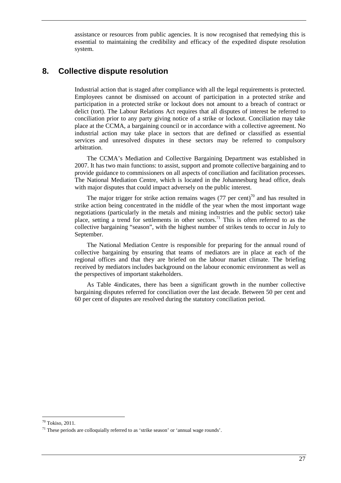assistance or resources from public agencies. It is now recognised that remedying this is essential to maintaining the credibility and efficacy of the expedited dispute resolution system.

## **8. Collective dispute resolution**

Industrial action that is staged after compliance with all the legal requirements is protected. Employees cannot be dismissed on account of participation in a protected strike and participation in a protected strike or lockout does not amount to a breach of contract or delict (tort). The Labour Relations Act requires that all disputes of interest be referred to conciliation prior to any party giving notice of a strike or lockout. Conciliation may take place at the CCMA, a bargaining council or in accordance with a collective agreement. No industrial action may take place in sectors that are defined or classified as essential services and unresolved disputes in these sectors may be referred to compulsory arbitration.

The CCMA's Mediation and Collective Bargaining Department was established in 2007. It has two main functions: to assist, support and promote collective bargaining and to provide guidance to commissioners on all aspects of conciliation and facilitation processes. The National Mediation Centre, which is located in the Johannesburg head office, deals with major disputes that could impact adversely on the public interest.

The major trigger for strike action remains wages (77 per cent)<sup>70</sup> and has resulted in strike action being concentrated in the middle of the year when the most important wage negotiations (particularly in the metals and mining industries and the public sector) take place, setting a trend for settlements in other sectors.<sup>71</sup> This is often referred to as the collective bargaining "season", with the highest number of strikes tends to occur in July to September.

The National Mediation Centre is responsible for preparing for the annual round of collective bargaining by ensuring that teams of mediators are in place at each of the regional offices and that they are briefed on the labour market climate. The briefing received by mediators includes background on the labour economic environment as well as the perspectives of important stakeholders.

As Table 4indicates, there has been a significant growth in the number collective bargaining disputes referred for conciliation over the last decade. Between 50 per cent and 60 per cent of disputes are resolved during the statutory conciliation period.

<sup>70</sup> Tokiso, 2011.

<sup>71</sup> These periods are colloquially referred to as 'strike season' or 'annual wage rounds'.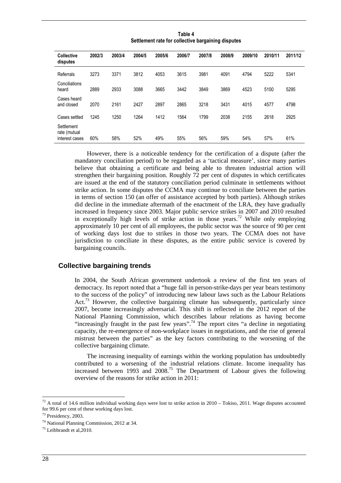| <b>Collective</b><br>disputes                | 2002/3 | 2003/4 | 2004/5 | 2005/6 | 2006/7 | 2007/8 | 2008/9 | 2009/10 | 2010/11 | 2011/12 |
|----------------------------------------------|--------|--------|--------|--------|--------|--------|--------|---------|---------|---------|
| Referrals                                    | 3273   | 3371   | 3812   | 4053   | 3615   | 3981   | 4091   | 4794    | 5222    | 5341    |
| Conciliations<br>heard                       | 2889   | 2933   | 3088   | 3665   | 3442   | 3849   | 3869   | 4523    | 5100    | 5295    |
| Cases heard<br>and closed                    | 2070   | 2161   | 2427   | 2897   | 2865   | 3218   | 3431   | 4015    | 4577    | 4798    |
| Cases settled                                | 1245   | 1250   | 1264   | 1412   | 1564   | 1799   | 2038   | 2155    | 2618    | 2925    |
| Settlement<br>rate (mutual<br>interest cases | 60%    | 58%    | 52%    | 49%    | 55%    | 56%    | 59%    | 54%     | 57%     | 61%     |

**Table 4 Settlement rate for collective bargaining disputes** 

However, there is a noticeable tendency for the certification of a dispute (after the mandatory conciliation period) to be regarded as a 'tactical measure', since many parties believe that obtaining a certificate and being able to threaten industrial action will strengthen their bargaining position. Roughly 72 per cent of disputes in which certificates are issued at the end of the statutory conciliation period culminate in settlements without strike action. In some disputes the CCMA may continue to conciliate between the parties in terms of section 150 (an offer of assistance accepted by both parties). Although strikes did decline in the immediate aftermath of the enactment of the LRA, they have gradually increased in frequency since 2003. Major public service strikes in 2007 and 2010 resulted in exceptionally high levels of strike action in those years.<sup>72</sup> While only employing approximately 10 per cent of all employees, the public sector was the source of 90 per cent of working days lost due to strikes in those two years. The CCMA does not have jurisdiction to conciliate in these disputes, as the entire public service is covered by bargaining councils.

#### **Collective bargaining trends**

In 2004, the South African government undertook a review of the first ten years of democracy. Its report noted that a "huge fall in person-strike-days per year bears testimony to the success of the policy" of introducing new labour laws such as the Labour Relations Act.<sup>73</sup> However, the collective bargaining climate has subsequently, particularly since 2007, become increasingly adversarial. This shift is reflected in the 2012 report of the National Planning Commission, which describes labour relations as having become "increasingly fraught in the past few years".<sup>74</sup> The report cites "a decline in negotiating capacity, the re-emergence of non-workplace issues in negotiations, and the rise of general mistrust between the parties" as the key factors contributing to the worsening of the collective bargaining climate.

The increasing inequality of earnings within the working population has undoubtedly contributed to a worsening of the industrial relations climate. Income inequality has increased between 1993 and 2008.<sup>75</sup> The Department of Labour gives the following overview of the reasons for strike action in 2011:

 $72$  A total of 14.6 million individual working days were lost to strike action in 2010 – Tokiso, 2011. Wage disputes accounted for 99.6 per cent of these working days lost.

<sup>73</sup> Presidency, 2003.

<sup>74</sup> National Planning Commission, 2012 at 34.

<sup>75</sup> Leibbrandt et al,2010.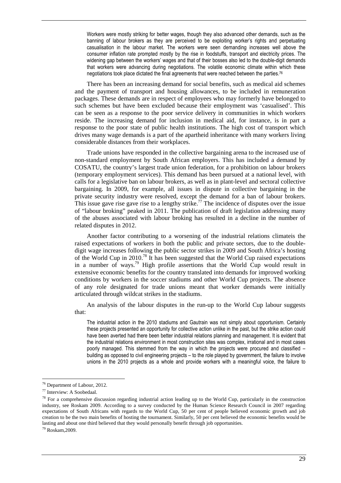Workers were mostly striking for better wages, though they also advanced other demands, such as the banning of labour brokers as they are perceived to be exploiting worker's rights and perpetuating casualisation in the labour market. The workers were seen demanding increases well above the consumer inflation rate prompted mostly by the rise in foodstuffs, transport and electricity prices. The widening gap between the workers' wages and that of their bosses also led to the double-digit demands that workers were advancing during negotiations. The volatile economic climate within which these negotiations took place dictated the final agreements that were reached between the parties.<sup>76</sup>

There has been an increasing demand for social benefits, such as medical aid schemes and the payment of transport and housing allowances, to be included in remuneration packages. These demands are in respect of employees who may formerly have belonged to such schemes but have been excluded because their employment was 'casualised'. This can be seen as a response to the poor service delivery in communities in which workers reside. The increasing demand for inclusion in medical aid, for instance, is in part a response to the poor state of public health institutions. The high cost of transport which drives many wage demands is a part of the apartheid inheritance with many workers living considerable distances from their workplaces.

Trade unions have responded in the collective bargaining arena to the increased use of non-standard employment by South African employers. This has included a demand by COSATU, the country's largest trade union federation, for a prohibition on labour brokers (temporary employment services). This demand has been pursued at a national level, with calls for a legislative ban on labour brokers, as well as in plant-level and sectoral collective bargaining. In 2009, for example, all issues in dispute in collective bargaining in the private security industry were resolved, except the demand for a ban of labour brokers. This issue gave rise gave rise to a lengthy strike.<sup>77</sup> The incidence of disputes over the issue of "labour broking" peaked in 2011. The publication of draft legislation addressing many of the abuses associated with labour broking has resulted in a decline in the number of related disputes in 2012.

Another factor contributing to a worsening of the industrial relations climateis the raised expectations of workers in both the public and private sectors, due to the doubledigit wage increases following the public sector strikes in 2009 and South Africa's hosting of the World Cup in 2010.<sup>78</sup> It has been suggested that the World Cup raised expectations in a number of ways.<sup>79</sup> High profile assertions that the World Cup would result in extensive economic benefits for the country translated into demands for improved working conditions by workers in the soccer stadiums and other World Cup projects. The absence of any role designated for trade unions meant that worker demands were initially articulated through wildcat strikes in the stadiums.

An analysis of the labour disputes in the run-up to the World Cup labour suggests that:

The industrial action in the 2010 stadiums and Gautrain was not simply about opportunism. Certainly these projects presented an opportunity for collective action unlike in the past, but the strike action could have been averted had there been better industrial relations planning and management. It is evident that the industrial relations environment in most construction sites was complex, irrational and in most cases poorly managed. This stemmed from the way in which the projects were procured and classified – building as opposed to civil engineering projects – to the role played by government, the failure to involve unions in the 2010 projects as a whole and provide workers with a meaningful voice, the failure to

<sup>76</sup> Department of Labour, 2012.

<sup>77</sup> Interview: A Soobedaal.

 $78$  For a comprehensive discussion regarding industrial action leading up to the World Cup, particularly in the construction industry, see Roskam 2009. According to a survey conducted by the Human Science Research Council in 2007 regarding expectations of South Africans with regards to the World Cup, 50 per cent of people believed economic growth and job creation to be the two main benefits of hosting the tournament. Similarly, 50 per cent believed the economic benefits would be lasting and about one third believed that they would personally benefit through job opportunities.

<sup>79</sup> Roskam,2009.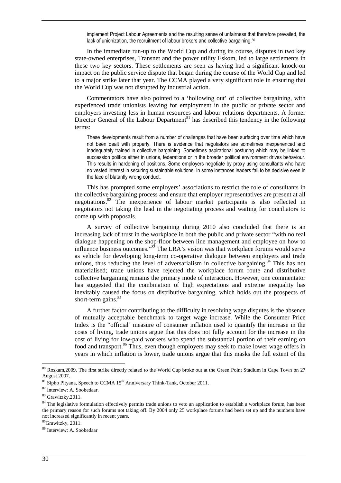implement Project Labour Agreements and the resulting sense of unfairness that therefore prevailed, the lack of unionization, the recruitment of labour brokers and collective bargaining.<sup>80</sup>

In the immediate run-up to the World Cup and during its course, disputes in two key state-owned enterprises, Transnet and the power utility Eskom, led to large settlements in these two key sectors. These settlements are seen as having had a significant knock-on impact on the public service dispute that began during the course of the World Cup and led to a major strike later that year. The CCMA played a very significant role in ensuring that the World Cup was not disrupted by industrial action.

Commentators have also pointed to a 'hollowing out' of collective bargaining, with experienced trade unionists leaving for employment in the public or private sector and employers investing less in human resources and labour relations departments. A former Director General of the Labour Department<sup>81</sup> has described this tendency in the following terms:

These developments result from a number of challenges that have been surfacing over time which have not been dealt with properly. There is evidence that negotiators are sometimes inexperienced and inadequately trained in collective bargaining. Sometimes aspirational posturing which may be linked to succession politics either in unions, federations or in the broader political environment drives behaviour. This results in hardening of positions. Some employers negotiate by proxy using consultants who have no vested interest in securing sustainable solutions. In some instances leaders fail to be decisive even in the face of blatantly wrong conduct.

This has prompted some employers' associations to restrict the role of consultants in the collective bargaining process and ensure that employer representatives are present at all negotiations.<sup>82</sup> The inexperience of labour market participants is also reflected in negotiators not taking the lead in the negotiating process and waiting for conciliators to come up with proposals.

A survey of collective bargaining during 2010 also concluded that there is an increasing lack of trust in the workplace in both the public and private sector "with no real dialogue happening on the shop-floor between line management and employee on how to influence business outcomes."<sup>83</sup> The LRA's vision was that workplace forums would serve as vehicle for developing long-term co-operative dialogue between employers and trade unions, thus reducing the level of adversarialism in collective bargaining. $84$  This has not materialised; trade unions have rejected the workplace forum route and distributive collective bargaining remains the primary mode of interaction. However, one commentator has suggested that the combination of high expectations and extreme inequality has inevitably caused the focus on distributive bargaining, which holds out the prospects of short-term gains. $85$ 

A further factor contributing to the difficulty in resolving wage disputes is the absence of mutually acceptable benchmark to target wage increase. While the Consumer Price Index is the "official' measure of consumer inflation used to quantify the increase in the costs of living, trade unions argue that this does not fully account for the increase in the cost of living for low-paid workers who spend the substantial portion of their earning on food and transport.<sup>86</sup> Thus, even though employers may seek to make lower wage offers in years in which inflation is lower, trade unions argue that this masks the full extent of the

<sup>85</sup>Grawitzky, 2011.

 $80$  Roskam, 2009. The first strike directly related to the World Cup broke out at the Green Point Stadium in Cape Town on 27 August 2007.

 $81$  Sipho Pityana, Speech to CCMA  $15<sup>th</sup>$  Anniversary Think-Tank, October 2011.

<sup>82</sup> Interview: A. Soobedaar.

<sup>&</sup>lt;sup>83</sup> Grawitzky, 2011.

<sup>&</sup>lt;sup>84</sup> The legislative formulation effectively permits trade unions to veto an application to establish a workplace forum, has been the primary reason for such forums not taking off. By 2004 only 25 workplace forums had been set up and the numbers have not increased significantly in recent years.

<sup>86</sup> Interview: A. Soobedaar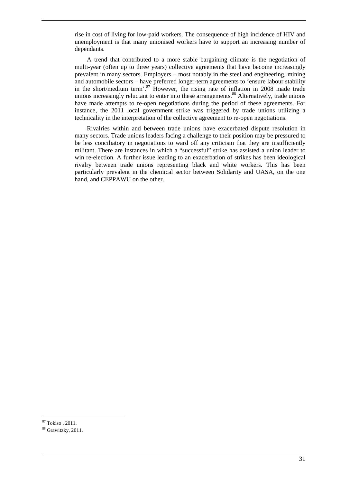rise in cost of living for low-paid workers. The consequence of high incidence of HIV and unemployment is that many unionised workers have to support an increasing number of dependants.

A trend that contributed to a more stable bargaining climate is the negotiation of multi-year (often up to three years) collective agreements that have become increasingly prevalent in many sectors. Employers – most notably in the steel and engineering, mining and automobile sectors – have preferred longer-term agreements to 'ensure labour stability in the short/medium term'. $87$  However, the rising rate of inflation in 2008 made trade unions increasingly reluctant to enter into these arrangements.<sup>88</sup> Alternatively, trade unions have made attempts to re-open negotiations during the period of these agreements. For instance, the 2011 local government strike was triggered by trade unions utilizing a technicality in the interpretation of the collective agreement to re-open negotiations.

Rivalries within and between trade unions have exacerbated dispute resolution in many sectors. Trade unions leaders facing a challenge to their position may be pressured to be less conciliatory in negotiations to ward off any criticism that they are insufficiently militant. There are instances in which a "successful" strike has assisted a union leader to win re-election. A further issue leading to an exacerbation of strikes has been ideological rivalry between trade unions representing black and white workers. This has been particularly prevalent in the chemical sector between Solidarity and UASA, on the one hand, and CEPPAWU on the other.

<sup>87</sup> Tokiso , 2011.

<sup>88</sup> Grawitzky, 2011.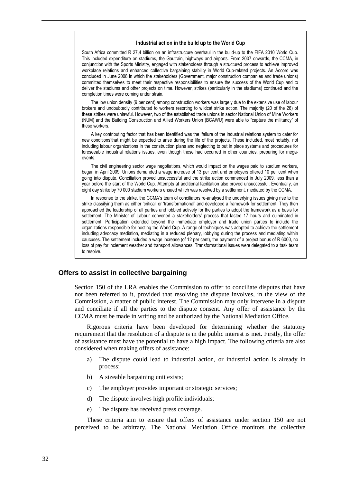#### **Industrial action in the build up to the World Cup**

South Africa committed R 27,4 billion on an infrastructure overhaul in the build-up to the FIFA 2010 World Cup. This included expenditure on stadiums, the Gautrain, highways and airports. From 2007 onwards, the CCMA, in conjunction with the Sports Ministry, engaged with stakeholders through a structured process to achieve improved workplace relations and enhanced collective bargaining stability in World Cup-related projects. An Accord was concluded in June 2008 in which the stakeholders (Government, major construction companies and trade unions) committed themselves to meet their respective responsibilities to ensure the success of the World Cup and to deliver the stadiums and other projects on time. However, strikes (particularly in the stadiums) continued and the completion times were coming under strain.

The low union density (9 per cent) among construction workers was largely due to the extensive use of labour brokers and undoubtedly contributed to workers resorting to wildcat strike action. The majority (20 of the 26) of these strikes were unlawful. However, two of the established trade unions in sector National Union of Mine Workers (NUM) and the Building Construction and Allied Workers Union (BCAWU) were able to "capture the militancy" of these workers.

A key contributing factor that has been identified was the 'failure of the industrial relations system to cater for new conditions'that might be expected to arise during the life of the projects. These included, most notably, not including labour organizations in the construction plans and neglecting to put in place systems and procedures for foreseeable industrial relations issues, even though these had occurred in other countries, preparing for megaevents.

The civil engineering sector wage negotiations, which would impact on the wages paid to stadium workers, began in April 2009. Unions demanded a wage increase of 13 per cent and employers offered 10 per cent when going into dispute. Conciliation proved unsuccessful and the strike action commenced in July 2009, less than a year before the start of the World Cup. Attempts at additional facilitation also proved unsuccessful. Eventually, an eight day strike by 70 000 stadium workers ensued which was resolved by a settlement, mediated by the CCMA.

In response to the strike, the CCMA's team of conciliators re-analysed the underlying issues giving rise to the strike classifying them as either 'critical' or 'transformational' and developed a framework for settlement. They then approached the leadership of all parties and lobbied actively for the parties to adopt the framework as a basis for settlement. The Minister of Labour convened a stakeholders' process that lasted 17 hours and culminated in settlement. Participation extended beyond the immediate employer and trade union parties to include the organizations responsible for hosting the World Cup. A range of techniques was adopted to achieve the settlement including advocacy mediation, mediating in a reduced plenary, lobbying during the process and mediating within caucuses. The settlement included a wage increase (of 12 per cent), the payment of a project bonus of R 6000, no loss of pay for inclement weather and transport allowances. Transformational issues were delegated to a task team to resolve.

#### **Offers to assist in collective bargaining**

Section 150 of the LRA enables the Commission to offer to conciliate disputes that have not been referred to it, provided that resolving the dispute involves, in the view of the Commission, a matter of public interest. The Commission may only intervene in a dispute and conciliate if all the parties to the dispute consent. Any offer of assistance by the CCMA must be made in writing and be authorized by the National Mediation Office.

Rigorous criteria have been developed for determining whether the statutory requirement that the resolution of a dispute is in the public interest is met. Firstly, the offer of assistance must have the potential to have a high impact. The following criteria are also considered when making offers of assistance:

- a) The dispute could lead to industrial action, or industrial action is already in process;
- b) A sizeable bargaining unit exists;
- c) The employer provides important or strategic services;
- d) The dispute involves high profile individuals;
- e) The dispute has received press coverage.

These criteria aim to ensure that offers of assistance under section 150 are not perceived to be arbitrary. The National Mediation Office monitors the collective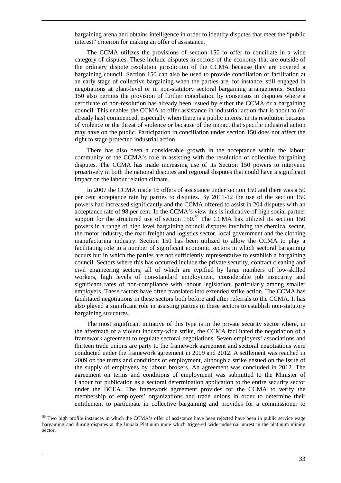bargaining arena and obtains intelligence in order to identify disputes that meet the "public interest" criterion for making an offer of assistance.

The CCMA utilizes the provisions of section 150 to offer to conciliate in a wide category of disputes. These include disputes in sectors of the economy that are outside of the ordinary dispute resolution jurisdiction of the CCMA because they are covered a bargaining council. Section 150 can also be used to provide conciliation or facilitation at an early stage of collective bargaining when the parties are, for instance, still engaged in negotiations at plant-level or in non-statutory sectoral bargaining arrangements. Section 150 also permits the provision of further conciliation by consensus in disputes where a certificate of non-resolution has already been issued by either the CCMA or a bargaining council. This enables the CCMA to offer assistance in industrial action that is about to (or already has) commenced, especially when there is a public interest in its resolution because of violence or the threat of violence or because of the impact that specific industrial action may have on the public. Participation in conciliation under section 150 does not affect the right to stage protected industrial action.

There has also been a considerable growth in the acceptance within the labour community of the CCMA's role in assisting with the resolution of collective bargaining disputes. The CCMA has made increasing use of its Section 150 powers to intervene proactively in both the national disputes and regional disputes that could have a significant impact on the labour relation climate.

In 2007 the CCMA made 16 offers of assistance under section 150 and there was a 50 per cent acceptance rate by parties to disputes. By 2011-12 the use of the section 150 powers had increased significantly and the CCMA offered to assist in 204 disputes with an acceptance rate of 98 per cent. In the CCMA's view this is indicative of high social partner support for the structured use of section  $150$ .<sup>89</sup> The CCMA has utilized its section 150 powers in a range of high level bargaining council disputes involving the chemical sector, the motor industry, the road freight and logistics sector, local government and the clothing manufacturing industry. Section 150 has been utilized to allow the CCMA to play a facilitating role in a number of significant economic sectors in which sectoral bargaining occurs but in which the parties are not sufficiently representative to establish a bargaining council. Sectors where this has occurred include the private security, contract cleaning and civil engineering sectors, all of which are typified by large numbers of low-skilled workers, high levels of non-standard employment, considerable job insecurity and significant rates of non-compliance with labour legislation, particularly among smaller employers. These factors have often translated into extended strike action. The CCMA has facilitated negotiations in these sectors both before and after referrals to the CCMA. It has also played a significant role in assisting parties in these sectors to establish non-statutory bargaining structures.

The most significant initiative of this type is in the private security sector where, in the aftermath of a violent industry-wide strike, the CCMA facilitated the negotiation of a framework agreement to regulate sectoral negotiations. Seven employers' associations and thirteen trade unions are party to the framework agreement and sectoral negotiations were conducted under the framework agreement in 2009 and 2012. A settlement was reached in 2009 on the terms and conditions of employment, although a strike ensued on the issue of the supply of employees by labour brokers. An agreement was concluded in 2012. The agreement on terms and conditions of employment was submitted to the Minister of Labour for publication as a sectoral determination application to the entire security sector under the BCEA. The framework agreement provides for the CCMA to verify the membership of employers' organizations and trade unions in order to determine their entitlement to participate in collective bargaining and provides for a commissioner to

<sup>&</sup>lt;sup>89</sup> Two high profile instances in which the CCMA's offer of assistance have been rejected have been in public service wage bargaining and during disputes at the Impala Platinum mine which triggered wide industrial unrest in the platinum mining sector.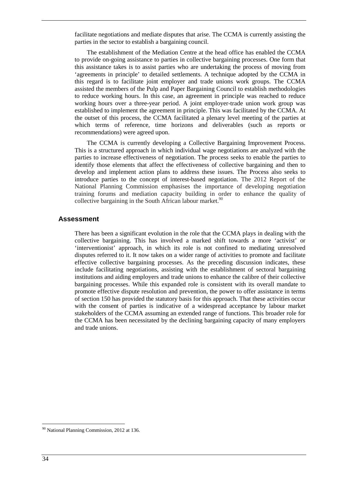facilitate negotiations and mediate disputes that arise. The CCMA is currently assisting the parties in the sector to establish a bargaining council.

The establishment of the Mediation Centre at the head office has enabled the CCMA to provide on-going assistance to parties in collective bargaining processes. One form that this assistance takes is to assist parties who are undertaking the process of moving from 'agreements in principle' to detailed settlements. A technique adopted by the CCMA in this regard is to facilitate joint employer and trade unions work groups. The CCMA assisted the members of the Pulp and Paper Bargaining Council to establish methodologies to reduce working hours. In this case, an agreement in principle was reached to reduce working hours over a three-year period. A joint employer-trade union work group was established to implement the agreement in principle. This was facilitated by the CCMA. At the outset of this process, the CCMA facilitated a plenary level meeting of the parties at which terms of reference, time horizons and deliverables (such as reports or recommendations) were agreed upon.

The CCMA is currently developing a Collective Bargaining Improvement Process. This is a structured approach in which individual wage negotiations are analyzed with the parties to increase effectiveness of negotiation. The process seeks to enable the parties to identify those elements that affect the effectiveness of collective bargaining and then to develop and implement action plans to address these issues. The Process also seeks to introduce parties to the concept of interest-based negotiation. The 2012 Report of the National Planning Commission emphasises the importance of developing negotiation training forums and mediation capacity building in order to enhance the quality of collective bargaining in the South African labour market. $90$ 

#### **Assessment**

There has been a significant evolution in the role that the CCMA plays in dealing with the collective bargaining. This has involved a marked shift towards a more 'activist' or 'interventionist' approach, in which its role is not confined to mediating unresolved disputes referred to it. It now takes on a wider range of activities to promote and facilitate effective collective bargaining processes. As the preceding discussion indicates, these include facilitating negotiations, assisting with the establishment of sectoral bargaining institutions and aiding employers and trade unions to enhance the calibre of their collective bargaining processes. While this expanded role is consistent with its overall mandate to promote effective dispute resolution and prevention, the power to offer assistance in terms of section 150 has provided the statutory basis for this approach. That these activities occur with the consent of parties is indicative of a widespread acceptance by labour market stakeholders of the CCMA assuming an extended range of functions. This broader role for the CCMA has been necessitated by the declining bargaining capacity of many employers and trade unions.

<sup>90</sup> National Planning Commission, 2012 at 136.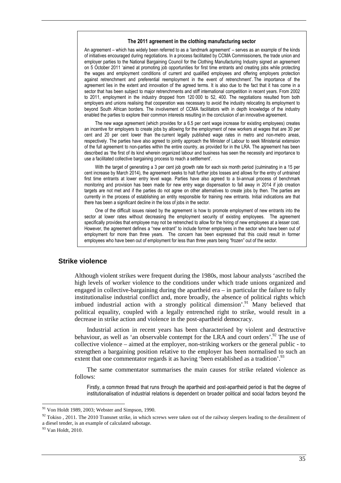#### **The 2011 agreement in the clothing manufacturing sector**

An agreement – which has widely been referred to as a 'landmark agreement' – serves as an example of the kinds of initiatives encouraged during negotiations. In a process facilitated by CCMA Commissioners, the trade union and employer parties to the National Bargaining Council for the Clothing Manufacturing Industry signed an agreement on 5 October 2011 'aimed at promoting job opportunities for first time entrants and creating jobs while protecting the wages and employment conditions of current and qualified employees and offering employers protection against retrenchment and preferential reemployment in the event of retrenchment'. The importance of the agreement lies in the extent and innovation of the agreed terms. It is also due to the fact that it has come in a sector that has been subject to major retrenchments and stiff international competition in recent years. From 2002 to 2011, employment in the industry dropped from 120 000 to 52, 400. The negotiations resulted from both employers and unions realising that cooperation was necessary to avoid the industry relocating its employment to beyond South African borders. The involvement of CCMA facilitators with in depth knowledge of the industry enabled the parties to explore their common interests resulting in the conclusion of an innovative agreement.

The new wage agreement (which provides for a 6.5 per cent wage increase for existing employees) creates an incentive for employers to create jobs by allowing for the employment of new workers at wages that are 30 per cent and 20 per cent lower than the current legally published wage rates in metro and non-metro areas, respectively. The parties have also agreed to jointly approach the Minister of Labour to seek Ministerial extension of the full agreement to non-parties within the entire country, as provided for in the LRA. The agreement has been described as 'the first of its kind wherein organized labour and business has seen the necessity and importance to use a facilitated collective bargaining process to reach a settlement'.

With the target of generating a 3 per cent job growth rate for each six month period (culminating in a 15 per cent increase by March 2014), the agreement seeks to halt further jobs losses and allows for the entry of untrained first time entrants at lower entry level wage. Parties have also agreed to a bi-annual process of benchmark monitoring and provision has been made for new entry wage dispensation to fall away in 2014 if job creation targets are not met and if the parties do not agree on other alternatives to create jobs by then. The parties are currently in the process of establishing an entity responsible for training new entrants. Initial indications are that there has been a significant decline in the loss of jobs in the sector.

One of the difficult issues raised by the agreement is how to promote employment of new entrants into the sector at lower rates without decreasing the employment security of existing employees. The agreement specifically provides that employee may not be retrenched to allow for the hiring of new employees at a lesser cost. However, the agreement defines a "new entrant" to include former employees in the sector who have been out of employment for more than three years. The concern has been expressed that this could result in former employees who have been out of employment for less than three years being "frozen" out of the sector.

#### **Strike violence**

Although violent strikes were frequent during the 1980s, most labour analysts 'ascribed the high levels of worker violence to the conditions under which trade unions organized and engaged in collective-bargaining during the apartheid era – in particular the failure to fully institutionalise industrial conflict and, more broadly, the absence of political rights which imbued industrial action with a strongly political dimension'.<sup>91</sup> Many believed that political equality, coupled with a legally entrenched right to strike, would result in a decrease in strike action and violence in the post-apartheid democracy.

Industrial action in recent years has been characterised by violent and destructive behaviour, as well as 'an observable contempt for the LRA and court orders'.<sup>92</sup> The use of collective violence – aimed at the employer, non-striking workers or the general public - to strengthen a bargaining position relative to the employer has been normalised to such an extent that one commentator regards it as having 'been established as a tradition'.<sup>93</sup>

The same commentator summarises the main causes for strike related violence as follows:

Firstly, a common thread that runs through the apartheid and post-apartheid period is that the degree of institutionalisation of industrial relations is dependent on broader political and social factors beyond the

 $91$  Von Holdt 1989, 2003; Webster and Simpson, 1990.

 $92$  Tokiso, 2011. The 2010 Transnet strike, in which screws were taken out of the railway sleepers leading to the derailment of a diesel tender, is an example of calculated sabotage.

<sup>93</sup> Van Holdt, 2010.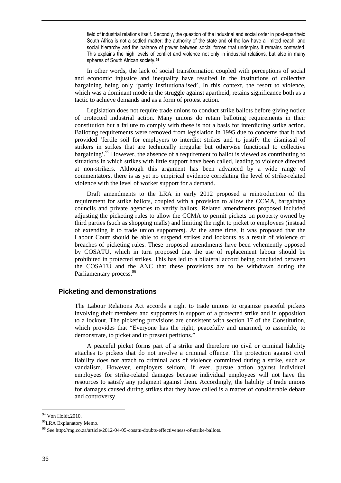field of industrial relations itself. Secondly, the question of the industrial and social order in post-apartheid South Africa is not a settled matter: the authority of the state and of the law have a limited reach, and social hierarchy and the balance of power between social forces that underpins it remains contested. This explains the high levels of conflict and violence not only in industrial relations, but also in many spheres of South African society.**<sup>94</sup>**

In other words, the lack of social transformation coupled with perceptions of social and economic injustice and inequality have resulted in the institutions of collective bargaining being only 'partly institutionalised', In this context, the resort to violence, which was a dominant mode in the struggle against apartheid, retains significance both as a tactic to achieve demands and as a form of protest action.

Legislation does not require trade unions to conduct strike ballots before giving notice of protected industrial action. Many unions do retain balloting requirements in their constitution but a failure to comply with these is not a basis for interdicting strike action. Balloting requirements were removed from legislation in 1995 due to concerns that it had provided 'fertile soil for employers to interdict strikes and to justify the dismissal of strikers in strikes that are technically irregular but otherwise functional to collective bargaining'.<sup>95</sup> However, the absence of a requirement to ballot is viewed as contributing to situations in which strikes with little support have been called, leading to violence directed at non-strikers. Although this argument has been advanced by a wide range of commentators, there is as yet no empirical evidence correlating the level of strike-related violence with the level of worker support for a demand.

Draft amendments to the LRA in early 2012 proposed a reintroduction of the requirement for strike ballots, coupled with a provision to allow the CCMA, bargaining councils and private agencies to verify ballots. Related amendments proposed included adjusting the picketing rules to allow the CCMA to permit pickets on property owned by third parties (such as shopping malls) and limiting the right to picket to employees (instead of extending it to trade union supporters). At the same time, it was proposed that the Labour Court should be able to suspend strikes and lockouts as a result of violence or breaches of picketing rules. These proposed amendments have been vehemently opposed by COSATU, which in turn proposed that the use of replacement labour should be prohibited in protected strikes. This has led to a bilateral accord being concluded between the COSATU and the ANC that these provisions are to be withdrawn during the Parliamentary process.<sup>96</sup>

#### **Picketing and demonstrations**

The Labour Relations Act accords a right to trade unions to organize peaceful pickets involving their members and supporters in support of a protected strike and in opposition to a lockout. The picketing provisions are consistent with section 17 of the Constitution, which provides that "Everyone has the right, peacefully and unarmed, to assemble, to demonstrate, to picket and to present petitions."

A peaceful picket forms part of a strike and therefore no civil or criminal liability attaches to pickets that do not involve a criminal offence. The protection against civil liability does not attach to criminal acts of violence committed during a strike, such as vandalism. However, employers seldom, if ever, pursue action against individual employees for strike-related damages because individual employees will not have the resources to satisfy any judgment against them. Accordingly, the liability of trade unions for damages caused during strikes that they have called is a matter of considerable debate and controversy.

<sup>&</sup>lt;sup>94</sup> Von Holdt, 2010.

<sup>&</sup>lt;sup>95</sup>LRA Explanatory Memo.

<sup>96</sup> See http://mg.co.za/article/2012-04-05-cosatu-doubts-effectiveness-of-strike-ballots.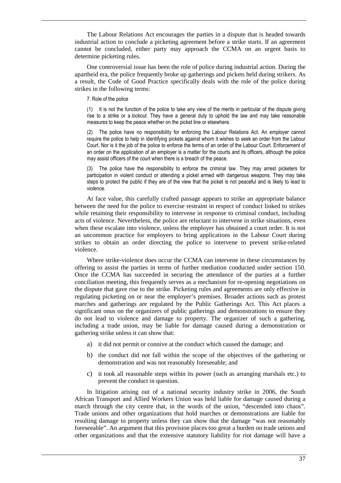The Labour Relations Act encourages the parties in a dispute that is headed towards industrial action to conclude a picketing agreement before a strike starts. If an agreement cannot be concluded, either party may approach the CCMA on an urgent basis to determine picketing rules.

One controversial issue has been the role of police during industrial action. During the apartheid era, the police frequently broke up gatherings and pickets held during strikers. As a result, the Code of Good Practice specifically deals with the role of the police during strikes in the following terms:

7. Role of the police

(1) It is not the function of the police to take any view of the merits in particular of the dispute giving rise to a strike or a *lockout*. They have a general duty to uphold the law and may take reasonable measures to keep the peace whether on the picket line or elsewhere.

(2) The police have no responsibility for enforcing the Labour Relations Act. An employer cannot require the police to help in identifying pickets against whom it wishes to seek an order from the Labour Court. Nor is it the job of the police to enforce the terms of an order of the Labour Court. Enforcement of an order on the application of an employer is a matter for the courts and its officers, although the police may assist officers of the court when there is a breach of the peace.

The police have the responsibility to enforce the criminal law. They may arrest picketers for participation in violent conduct or attending a picket armed with dangerous weapons. They may take steps to protect the public if they are of the view that the picket is not peaceful and is likely to lead to violence.

At face value, this carefully crafted passage appears to strike an appropriate balance between the need for the police to exercise restraint in respect of conduct linked to strikes while retaining their responsibility to intervene in response to criminal conduct, including acts of violence. Nevertheless, the police are reluctant to intervene in strike situations, even when these escalate into violence, unless the employer has obtained a court order. It is not an uncommon practice for employers to bring applications in the Labour Court during strikes to obtain an order directing the police to intervene to prevent strike-related violence.

Where strike-violence does occur the CCMA can intervene in these circumstances by offering to assist the parties in terms of further mediation conducted under section 150. Once the CCMA has succeeded in securing the attendance of the parties at a further conciliation meeting, this frequently serves as a mechanism for re-opening negotiations on the dispute that gave rise to the strike. Picketing rules and agreements are only effective in regulating picketing on or near the employer's premises. Broader actions such as protest marches and gatherings are regulated by the Public Gatherings Act. This Act places a significant onus on the organizers of public gatherings and demonstrations to ensure they do not lead to violence and damage to property. The organizer of such a gathering, including a trade union, may be liable for damage caused during a demonstration or gathering strike unless it can show that:

- a) it did not permit or connive at the conduct which caused the damage; and
- b) the conduct did not fall within the scope of the objectives of the gathering or demonstration and was not reasonably foreseeable; and
- c) it took all reasonable steps within its power (such as arranging marshals etc.) to prevent the conduct in question.

In litigation arising out of a national security industry strike in 2006, the South African Transport and Allied Workers Union was held liable for damage caused during a march through the city centre that, in the words of the union, "descended into chaos". Trade unions and other organizations that hold marches or demonstrations are liable for resulting damage to property unless they can show that the damage "was not reasonably foreseeable". An argument that this provision places too great a burden on trade unions and other organizations and that the extensive statutory liability for riot damage will have a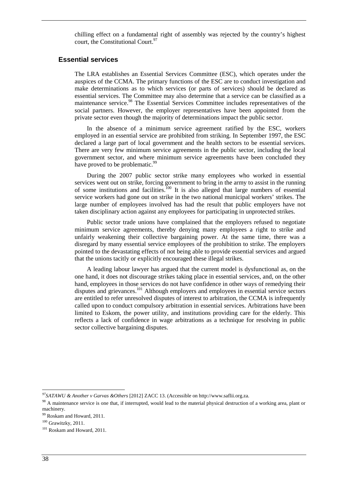chilling effect on a fundamental right of assembly was rejected by the country's highest court, the Constitutional Court.<sup>97</sup>

#### **Essential services**

The LRA establishes an Essential Services Committee (ESC), which operates under the auspices of the CCMA. The primary functions of the ESC are to conduct investigation and make determinations as to which services (or parts of services) should be declared as essential services. The Committee may also determine that a service can be classified as a maintenance service.<sup>98</sup> The Essential Services Committee includes representatives of the social partners. However, the employer representatives have been appointed from the private sector even though the majority of determinations impact the public sector.

In the absence of a minimum service agreement ratified by the ESC, workers employed in an essential service are prohibited from striking. In September 1997, the ESC declared a large part of local government and the health sectors to be essential services. There are very few minimum service agreements in the public sector, including the local government sector, and where minimum service agreements have been concluded they have proved to be problematic.<sup>9</sup>

During the 2007 public sector strike many employees who worked in essential services went out on strike, forcing government to bring in the army to assist in the running of some institutions and facilities.<sup>100</sup> It is also alleged that large numbers of essential service workers had gone out on strike in the two national municipal workers' strikes. The large number of employees involved has had the result that public employers have not taken disciplinary action against any employees for participating in unprotected strikes.

Public sector trade unions have complained that the employers refused to negotiate minimum service agreements, thereby denying many employees a right to strike and unfairly weakening their collective bargaining power. At the same time, there was a disregard by many essential service employees of the prohibition to strike. The employers pointed to the devastating effects of not being able to provide essential services and argued that the unions tacitly or explicitly encouraged these illegal strikes.

A leading labour lawyer has argued that the current model is dysfunctional as, on the one hand, it does not discourage strikes taking place in essential services, and, on the other hand, employees in those services do not have confidence in other ways of remedying their disputes and grievances.<sup>101</sup> Although employers and employees in essential service sectors are entitled to refer unresolved disputes of interest to arbitration, the CCMA is infrequently called upon to conduct compulsory arbitration in essential services. Arbitrations have been limited to Eskom, the power utility, and institutions providing care for the elderly. This reflects a lack of confidence in wage arbitrations as a technique for resolving in public sector collective bargaining disputes.

*<sup>97</sup>SATAWU & Another v Garvas &Others* [2012] ZACC 13. (Accessible on http://www.saflii.org.za.

<sup>&</sup>lt;sup>98</sup> A maintenance service is one that, if interrupted, would lead to the material physical destruction of a working area, plant or machinery.

<sup>99</sup> Roskam and Howard, 2011.

<sup>100</sup> Grawitzky, 2011.

<sup>&</sup>lt;sup>101</sup> Roskam and Howard, 2011.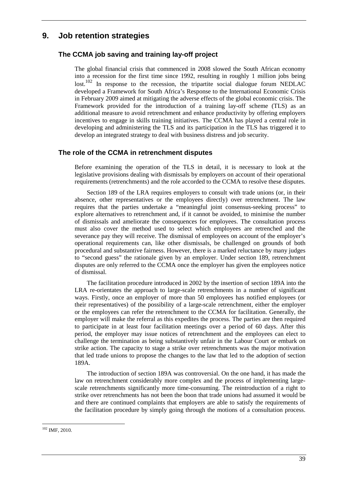## **9. Job retention strategies**

### **The CCMA job saving and training lay-off project**

The global financial crisis that commenced in 2008 slowed the South African economy into a recession for the first time since 1992, resulting in roughly 1 million jobs being lost.<sup>102</sup> In response to the recession, the tripartite social dialogue forum NEDLAC developed a Framework for South Africa's Response to the International Economic Crisis in February 2009 aimed at mitigating the adverse effects of the global economic crisis. The Framework provided for the introduction of a training lay-off scheme (TLS) as an additional measure to avoid retrenchment and enhance productivity by offering employers incentives to engage in skills training initiatives. The CCMA has played a central role in developing and administering the TLS and its participation in the TLS has triggered it to develop an integrated strategy to deal with business distress and job security.

#### **The role of the CCMA in retrenchment disputes**

Before examining the operation of the TLS in detail, it is necessary to look at the legislative provisions dealing with dismissals by employers on account of their operational requirements (retrenchments) and the role accorded to the CCMA to resolve these disputes.

Section 189 of the LRA requires employers to consult with trade unions (or, in their absence, other representatives or the employees directly) over retrenchment. The law requires that the parties undertake a "meaningful joint consensus-seeking process" to explore alternatives to retrenchment and, if it cannot be avoided, to minimise the number of dismissals and ameliorate the consequences for employees. The consultation process must also cover the method used to select which employees are retrenched and the severance pay they will receive. The dismissal of employees on account of the employer's operational requirements can, like other dismissals, be challenged on grounds of both procedural and substantive fairness. However, there is a marked reluctance by many judges to "second guess" the rationale given by an employer. Under section 189, retrenchment disputes are only referred to the CCMA once the employer has given the employees notice of dismissal.

The facilitation procedure introduced in 2002 by the insertion of section 189A into the LRA re-orientates the approach to large-scale retrenchments in a number of significant ways. Firstly, once an employer of more than 50 employees has notified employees (or their representatives) of the possibility of a large-scale retrenchment, either the employer or the employees can refer the retrenchment to the CCMA for facilitation. Generally, the employer will make the referral as this expedites the process. The parties are then required to participate in at least four facilitation meetings over a period of 60 days. After this period, the employer may issue notices of retrenchment and the employees can elect to challenge the termination as being substantively unfair in the Labour Court or embark on strike action. The capacity to stage a strike over retrenchments was the major motivation that led trade unions to propose the changes to the law that led to the adoption of section 189A.

The introduction of section 189A was controversial. On the one hand, it has made the law on retrenchment considerably more complex and the process of implementing largescale retrenchments significantly more time-consuming. The reintroduction of a right to strike over retrenchments has not been the boon that trade unions had assumed it would be and there are continued complaints that employers are able to satisfy the requirements of the facilitation procedure by simply going through the motions of a consultation process.

 $102$  IMF, 2010.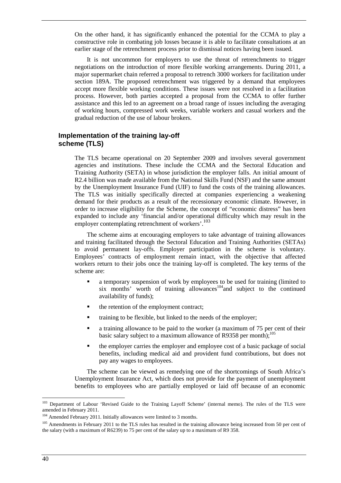On the other hand, it has significantly enhanced the potential for the CCMA to play a constructive role in combating job losses because it is able to facilitate consultations at an earlier stage of the retrenchment process prior to dismissal notices having been issued.

It is not uncommon for employers to use the threat of retrenchments to trigger negotiations on the introduction of more flexible working arrangements. During 2011, a major supermarket chain referred a proposal to retrench 3000 workers for facilitation under section 189A. The proposed retrenchment was triggered by a demand that employees accept more flexible working conditions. These issues were not resolved in a facilitation process. However, both parties accepted a proposal from the CCMA to offer further assistance and this led to an agreement on a broad range of issues including the averaging of working hours, compressed work weeks, variable workers and casual workers and the gradual reduction of the use of labour brokers.

#### **Implementation of the training lay-off scheme (TLS)**

The TLS became operational on 20 September 2009 and involves several government agencies and institutions. These include the CCMA and the Sectoral Education and Training Authority (SETA) in whose jurisdiction the employer falls. An initial amount of R2.4 billion was made available from the National Skills Fund (NSF) and the same amount by the Unemployment Insurance Fund (UIF) to fund the costs of the training allowances. The TLS was initially specifically directed at companies experiencing a weakening demand for their products as a result of the recessionary economic climate. However, in order to increase eligibility for the Scheme, the concept of "economic distress" has been expanded to include any 'financial and/or operational difficulty which may result in the employer contemplating retrenchment of workers'.<sup>103</sup>

The scheme aims at encouraging employers to take advantage of training allowances and training facilitated through the Sectoral Education and Training Authorities (SETAs) to avoid permanent lay-offs. Employer participation in the scheme is voluntary. Employees' contracts of employment remain intact, with the objective that affected workers return to their jobs once the training lay-off is completed. The key terms of the scheme are:

- a temporary suspension of work by employees to be used for training (limited to six months' worth of training allowances<sup>104</sup>and subject to the continued availability of funds);
- $\blacksquare$  the retention of the employment contract:
- training to be flexible, but linked to the needs of the employer:
- a training allowance to be paid to the worker (a maximum of 75 per cent of their basic salary subject to a maximum allowance of R9358 per month);<sup>105</sup>
- the employer carries the employer and employee cost of a basic package of social benefits, including medical aid and provident fund contributions, but does not pay any wages to employees.

The scheme can be viewed as remedying one of the shortcomings of South Africa's Unemployment Insurance Act, which does not provide for the payment of unemployment benefits to employees who are partially employed or laid off because of an economic

<sup>&</sup>lt;sup>103</sup> Department of Labour 'Revised Guide to the Training Layoff Scheme' (internal memo). The rules of the TLS were amended in February 2011.

<sup>&</sup>lt;sup>104</sup> Amended February 2011. Initially allowances were limited to 3 months.

<sup>&</sup>lt;sup>105</sup> Amendments in February 2011 to the TLS rules has resulted in the training allowance being increased from 50 per cent of the salary (with a maximum of R6239) to 75 per cent of the salary up to a maximum of R9 358.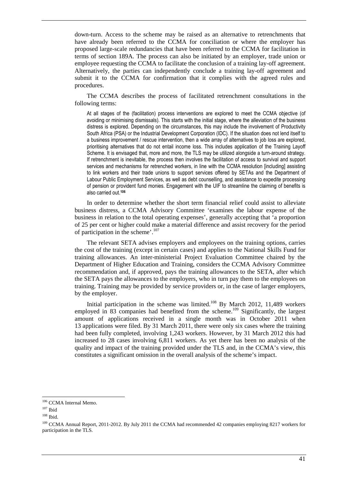down-turn. Access to the scheme may be raised as an alternative to retrenchments that have already been referred to the CCMA for conciliation or where the employer has proposed large-scale redundancies that have been referred to the CCMA for facilitation in terms of section 189A. The process can also be initiated by an employer, trade union or employee requesting the CCMA to facilitate the conclusion of a training lay-off agreement. Alternatively, the parties can independently conclude a training lay-off agreement and submit it to the CCMA for confirmation that it complies with the agreed rules and procedures.

The CCMA describes the process of facilitated retrenchment consultations in the following terms:

At all stages of the (facilitation) process interventions are explored to meet the CCMA objective (of avoiding or minimising dismissals). This starts with the initial stage, where the alleviation of the business distress is explored. Depending on the circumstances, this may include the involvement of Productivity South Africa (PSA) or the Industrial Development Corporation (IDC). If the situation does not lend itself to a business improvement / rescue intervention, then a wide array of alternatives to job loss are explored, prioritising alternatives that do not entail income loss. This includes application of the Training Layoff Scheme. It is envisaged that, more and more, the TLS may be utilized alongside a turn-around strategy. If retrenchment is inevitable, the process then involves the facilitation of access to survival and support services and mechanisms for retrenched workers, in line with the CCMA resolution [including] assisting to link workers and their trade unions to support services offered by SETAs and the Department of Labour Public Employment Services, as well as debt counselling, and assistance to expedite processing of pension or provident fund monies. Engagement with the UIF to streamline the claiming of benefits is also carried out.**<sup>106</sup>**

In order to determine whether the short term financial relief could assist to alleviate business distress, a CCMA Advisory Committee 'examines the labour expense of the business in relation to the total operating expenses', generally accepting that 'a proportion of 25 per cent or higher could make a material difference and assist recovery for the period of participation in the scheme'.<sup>107</sup>

The relevant SETA advises employers and employees on the training options, carries the cost of the training (except in certain cases) and applies to the National Skills Fund for training allowances. An inter-ministerial Project Evaluation Committee chaired by the Department of Higher Education and Training, considers the CCMA Advisory Committee recommendation and, if approved, pays the training allowances to the SETA, after which the SETA pays the allowances to the employers, who in turn pay them to the employees on training. Training may be provided by service providers or, in the case of larger employers, by the employer.

Initial participation in the scheme was limited.<sup>108</sup> By March 2012, 11,489 workers employed in 83 companies had benefited from the scheme.<sup>109</sup> Significantly, the largest amount of applications received in a single month was in October 2011 when 13 applications were filed. By 31 March 2011, there were only six cases where the training had been fully completed, involving 1,243 workers. However, by 31 March 2012 this had increased to 28 cases involving 6,811 workers. As yet there has been no analysis of the quality and impact of the training provided under the TLS and, in the CCMA's view, this constitutes a significant omission in the overall analysis of the scheme's impact.

<sup>106</sup> CCMA Internal Memo.

 $107$  Ibid

<sup>108</sup> Ibid.

<sup>&</sup>lt;sup>109</sup> CCMA Annual Report, 2011-2012. By July 2011 the CCMA had recommended 42 companies employing 8217 workers for participation in the TLS.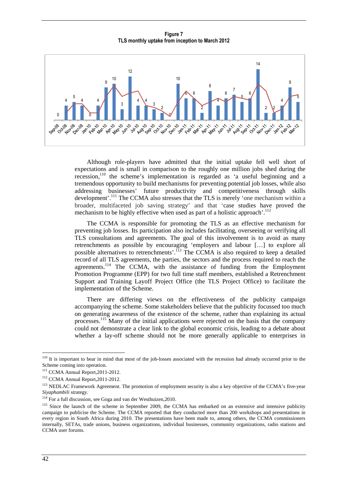**Figure 7 TLS monthly uptake from inception to March 2012** 



Although role-players have admitted that the initial uptake fell well short of expectations and is small in comparison to the roughly one million jobs shed during the recession,<sup>110</sup> the scheme's implementation is regarded as 'a useful beginning and a tremendous opportunity to build mechanisms for preventing potential job losses, while also addressing businesses' future productivity and competitiveness through skills development'.<sup>111</sup> The CCMA also stresses that the TLS is merely 'one mechanism within a broader, multifaceted job saving strategy' and that 'case studies have proved the mechanism to be highly effective when used as part of a holistic approach'.<sup>112</sup>

The CCMA is responsible for promoting the TLS as an effective mechanism for preventing job losses. Its participation also includes facilitating, overseeing or verifying all TLS consultations and agreements. The goal of this involvement is to avoid as many retrenchments as possible by encouraging 'employers and labour […] to explore all possible alternatives to retrenchments'.<sup>113</sup> The CCMA is also required to keep a detailed record of all TLS agreements, the parties, the sectors and the process required to reach the agreements.<sup>114</sup> The CCMA, with the assistance of funding from the Employment Promotion Programme (EPP) for two full time staff members, established a Retrenchment Support and Training Layoff Project Office (the TLS Project Office) to facilitate the implementation of the Scheme.

There are differing views on the effectiveness of the publicity campaign accompanying the scheme. Some stakeholders believe that the publicity focussed too much on generating awareness of the existence of the scheme, rather than explaining its actual processes.<sup>115</sup> Many of the initial applications were rejected on the basis that the company could not demonstrate a clear link to the global economic crisis, leading to a debate about whether a lay-off scheme should not be more generally applicable to enterprises in

<sup>&</sup>lt;sup>110</sup> It is important to bear in mind that most of the job-losses associated with the recession had already occurred prior to the Scheme coming into operation.

<sup>111</sup> CCMA Annual Report,2011-2012.

<sup>112</sup> CCMA Annual Report,2011-2012.

<sup>&</sup>lt;sup>113</sup> NEDLAC Framework Agreement. The promotion of employment security is also a key objective of the CCMA's five-year *Siyaphambili* strategy.

<sup>114</sup> For a full discussion, see Goga and van der Westhuizen,2010.

<sup>&</sup>lt;sup>115</sup> Since the launch of the scheme in September 2009, the CCMA has embarked on an extensive and intensive publicity campaign to publicise the Scheme. The CCMA reported that they conducted more than 200 workshops and presentations in every region in South Africa during 2010. The presentations have been made to, among others, the CCMA commissioners internally, SETAs, trade unions, business organizations, individual businesses, community organizations, radio stations and CCMA user forums.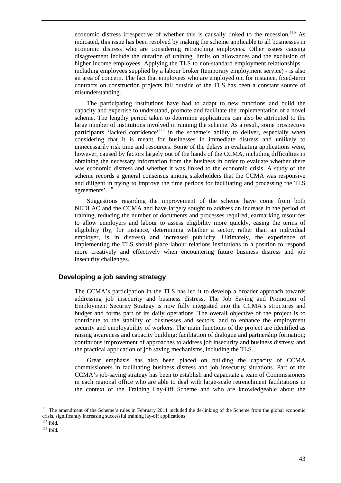economic distress irrespective of whether this is causally linked to the recession.<sup>116</sup> As indicated, this issue has been resolved by making the scheme applicable to all businesses in economic distress who are considering retrenching employees. Other issues causing disagreement include the duration of training, limits on allowances and the exclusion of higher income employees. Applying the TLS to non-standard employment relationships – including employees supplied by a labour broker (temporary employment service) - is also an area of concern. The fact that employees who are employed on, for instance, fixed-term contracts on construction projects fall outside of the TLS has been a constant source of misunderstanding.

The participating institutions have had to adapt to new functions and build the capacity and expertise to understand, promote and facilitate the implementation of a novel scheme. The lengthy period taken to determine applications can also be attributed to the large number of institutions involved in running the scheme. As a result, some prospective participants 'lacked confidence'<sup>117</sup> in the scheme's ability to deliver, especially when considering that it is meant for businesses in immediate distress and unlikely to unnecessarily risk time and resources. Some of the delays in evaluating applications were, however, caused by factors largely out of the hands of the CCMA, including difficulties in obtaining the necessary information from the business in order to evaluate whether there was economic distress and whether it was linked to the economic crisis. A study of the scheme records a general consensus among stakeholders that the CCMA was responsive and diligent in trying to improve the time periods for facilitating and processing the TLS agreements'.<sup>118</sup>

Suggestions regarding the improvement of the scheme have come from both NEDLAC and the CCMA and have largely sought to address an increase in the period of training, reducing the number of documents and processes required, earmarking resources to allow employers and labour to assess eligibility more quickly, easing the terms of eligibility (by, for instance, determining whether a sector, rather than an individual employer, is in distress) and increased publicity. Ultimately, the experience of implementing the TLS should place labour relations institutions in a position to respond more creatively and effectively when encountering future business distress and job insecurity challenges.

#### **Developing a job saving strategy**

The CCMA's participation in the TLS has led it to develop a broader approach towards addressing job insecurity and business distress. The Job Saving and Promotion of Employment Security Strategy is now fully integrated into the CCMA's structures and budget and forms part of its daily operations. The overall objective of the project is to contribute to the stability of businesses and sectors, and to enhance the employment security and employability of workers. The main functions of the project are identified as raising awareness and capacity building; facilitation of dialogue and partnership formation; continuous improvement of approaches to address job insecurity and business distress; and the practical application of job saving mechanisms, including the TLS.

Great emphasis has also been placed on building the capacity of CCMA commissioners in facilitating business distress and job insecurity situations. Part of the CCMA's job-saving strategy has been to establish and capacitate a team of Commissioners in each regional office who are able to deal with large-scale retrenchment facilitations in the context of the Training Lay-Off Scheme and who are knowledgeable about the

<sup>&</sup>lt;sup>116</sup> The amendment of the Scheme's rules in February 2011 included the de-linking of the Scheme from the global economic crisis, significantly increasing successful training lay-off applications.

<sup>117</sup> Ibid.

<sup>118</sup> Ibid.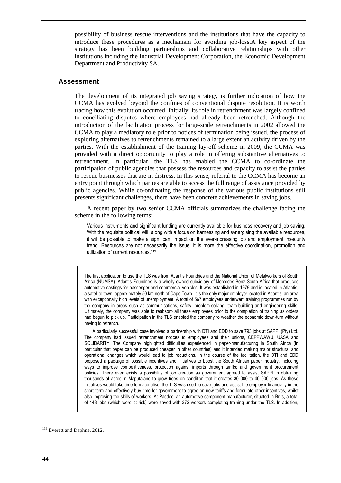possibility of business rescue interventions and the institutions that have the capacity to introduce these procedures as a mechanism for avoiding job-loss.A key aspect of the strategy has been building partnerships and collaborative relationships with other institutions including the Industrial Development Corporation, the Economic Development Department and Productivity SA.

#### **Assessment**

The development of its integrated job saving strategy is further indication of how the CCMA has evolved beyond the confines of conventional dispute resolution. It is worth tracing how this evolution occurred. Initially, its role in retrenchment was largely confined to conciliating disputes where employees had already been retrenched. Although the introduction of the facilitation process for large-scale retrenchments in 2002 allowed the CCMA to play a mediatory role prior to notices of termination being issued, the process of exploring alternatives to retrenchments remained to a large extent an activity driven by the parties. With the establishment of the training lay-off scheme in 2009, the CCMA was provided with a direct opportunity to play a role in offering substantive alternatives to retrenchment. In particular, the TLS has enabled the CCMA to co-ordinate the participation of public agencies that possess the resources and capacity to assist the parties to rescue businesses that are in distress. In this sense, referral to the CCMA has become an entry point through which parties are able to access the full range of assistance provided by public agencies. While co-ordinating the response of the various public institutions still presents significant challenges, there have been concrete achievements in saving jobs.

A recent paper by two senior CCMA officials summarizes the challenge facing the scheme in the following terms:

Various instruments and significant funding are currently available for business recovery and job saving. With the requisite political will, along with a focus on harnessing and synergising the available resources, it will be possible to make a significant impact on the ever-increasing job and employment insecurity trend. Resources are not necessarily the issue; it is more the effective coordination, promotion and utilization of current resources.<sup>119</sup>

The first application to use the TLS was from Atlantis Foundries and the National Union of Metalworkers of South Africa (NUMSA). Atlantis Foundries is a wholly owned subsidiary of Mercedes-Benz South Africa that produces automotive castings for passenger and commercial vehicles. It was established in 1979 and is located in Atlantis, a satellite town, approximately 50 km north of Cape Town. It is the only major employer located in Atlantis, an area with exceptionally high levels of unemployment. A total of 567 employees underwent training programmes run by the company in areas such as communications, safety, problem-solving, team-building and engineering skills. Ultimately, the company was able to reabsorb all these employees prior to the completion of training as orders had begun to pick up. Participation in the TLS enabled the company to weather the economic down-turn without having to retrench.

A particularly successful case involved a partnership with DTI and EDD to save 793 jobs at SAPPI (Pty) Ltd. The company had issued retrenchment notices to employees and their unions, CEPPWAWU, UASA and SOLIDARITY. The Company highlighted difficulties experienced in paper-manufacturing in South Africa (in particular that paper can be produced cheaper in other countries) and it intended making major structural and operational changes which would lead to job reductions. In the course of the facilitation, the DTI and EDD proposed a package of possible incentives and initiatives to boost the South African paper industry, including ways to improve competitiveness, protection against imports through tariffs; and government procurement policies. There even exists a possibility of job creation as government agreed to assist SAPPI in obtaining thousands of acres in Maputaland to grow trees on condition that it creates 30 000 to 40 000 jobs. As these initiatives would take time to materialise, the TLS was used to save jobs and assist the employer financially in the short term and effectively buy time for government to agree on new tariffs and formulate other incentives, whilst also improving the skills of workers. At Pasdec, an automotive component manufacturer, situated in Brits, a total of 143 jobs (which were at risk) were saved with 372 workers completing training under the TLS. In addition,

 $\overline{a}$ <sup>119</sup> Everett and Daphne, 2012.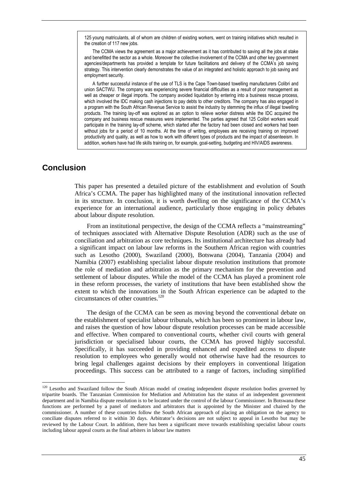125 young matriculants, all of whom are children of existing workers, went on training initiatives which resulted in the creation of 117 new jobs.

The CCMA views the agreement as a major achievement as it has contributed to saving all the jobs at stake and benefitted the sector as a whole. Moreover the collective involvement of the CCMA and other key government agencies/departments has provided a template for future facilitations and delivery of the CCMA's job saving strategy. This intervention clearly demonstrates the value of an integrated and holistic approach to job saving and employment security.

A further successful instance of the use of TLS is the Cape Town-based towelling manufacturers Colibri and union SACTWU. The company was experiencing severe financial difficulties as a result of poor management as well as cheaper or illegal imports. The company avoided liquidation by entering into a business rescue process, which involved the IDC making cash injections to pay debts to other creditors. The company has also engaged in a program with the South African Revenue Service to assist the industry by stemming the influx of illegal towelling products. The training lay-off was explored as an option to relieve worker distress while the IDC acquired the company and business rescue measures were implemented. The parties agreed that 125 Colibri workers would participate in the training lay-off scheme, which started after the factory had been closed and workers had been without jobs for a period of 10 months. At the time of writing, employees are receiving training on improved productivity and quality, as well as how to work with different types of products and the impact of absenteeism. In addition, workers have had life skills training on, for example, goal-setting, budgeting and HIV/AIDS awareness.

## **Conclusion**

 $\overline{a}$ 

This paper has presented a detailed picture of the establishment and evolution of South Africa's CCMA. The paper has highlighted many of the institutional innovation reflected in its structure. In conclusion, it is worth dwelling on the significance of the CCMA's experience for an international audience, particularly those engaging in policy debates about labour dispute resolution.

From an institutional perspective, the design of the CCMA reflects a "mainstreaming" of techniques associated with Alternative Dispute Resolution (ADR) such as the use of conciliation and arbitration as core techniques. Its institutional architecture has already had a significant impact on labour law reforms in the Southern African region with countries such as Lesotho (2000), Swaziland (2000), Botswana (2004), Tanzania (2004) and Namibia (2007) establishing specialist labour dispute resolution institutions that promote the role of mediation and arbitration as the primary mechanism for the prevention and settlement of labour disputes. While the model of the CCMA has played a prominent role in these reform processes, the variety of institutions that have been established show the extent to which the innovations in the South African experience can be adapted to the circumstances of other countries.<sup>120</sup>

The design of the CCMA can be seen as moving beyond the conventional debate on the establishment of specialist labour tribunals, which has been so prominent in labour law, and raises the question of how labour dispute resolution processes can be made accessible and effective. When compared to conventional courts, whether civil courts with general jurisdiction or specialised labour courts, the CCMA has proved highly successful. Specifically, it has succeeded in providing enhanced and expedited access to dispute resolution to employees who generally would not otherwise have had the resources to bring legal challenges against decisions by their employers in conventional litigation proceedings. This success can be attributed to a range of factors, including simplified

<sup>&</sup>lt;sup>120</sup> Lesotho and Swaziland follow the South African model of creating independent dispute resolution bodies governed by tripartite boards. The Tanzanian Commission for Mediation and Arbitration has the status of an independent government department and in Namibia dispute resolution is to be located under the control of the labour Commissioner. In Botswana these functions are performed by a panel of mediators and arbitrators that is appointed by the Minister and chaired by the commissioner. A number of these countries follow the South African approach of placing an obligation on the agency to conciliate disputes referred to it within 30 days. Arbitrator's decisions are not subject to appeal in Lesotho but may be reviewed by the Labour Court. In addition, there has been a significant move towards establishing specialist labour courts including labour appeal courts as the final arbiters in labour law matters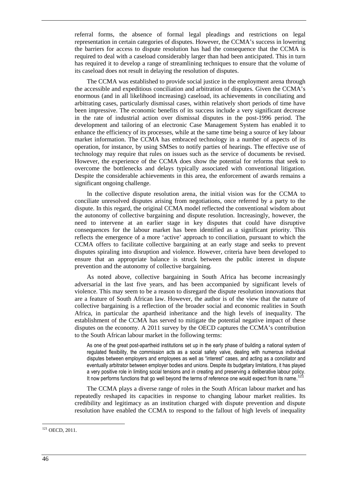referral forms, the absence of formal legal pleadings and restrictions on legal representation in certain categories of disputes. However, the CCMA's success in lowering the barriers for access to dispute resolution has had the consequence that the CCMA is required to deal with a caseload considerably larger than had been anticipated. This in turn has required it to develop a range of streamlining techniques to ensure that the volume of its caseload does not result in delaying the resolution of disputes.

The CCMA was established to provide social justice in the employment arena through the accessible and expeditious conciliation and arbitration of disputes. Given the CCMA's enormous (and in all likelihood increasing) caseload, its achievements in conciliating and arbitrating cases, particularly dismissal cases, within relatively short periods of time have been impressive. The economic benefits of its success include a very significant decrease in the rate of industrial action over dismissal disputes in the post-1996 period. The development and tailoring of an electronic Case Management System has enabled it to enhance the efficiency of its processes, while at the same time being a source of key labour market information. The CCMA has embraced technology in a number of aspects of its operation, for instance, by using SMSes to notify parties of hearings. The effective use of technology may require that rules on issues such as the service of documents be revised. However, the experience of the CCMA does show the potential for reforms that seek to overcome the bottlenecks and delays typically associated with conventional litigation. Despite the considerable achievements in this area, the enforcement of awards remains a significant ongoing challenge.

In the collective dispute resolution arena, the initial vision was for the CCMA to conciliate unresolved disputes arising from negotiations, once referred by a party to the dispute. In this regard, the original CCMA model reflected the conventional wisdom about the autonomy of collective bargaining and dispute resolution. Increasingly, however, the need to intervene at an earlier stage in key disputes that could have disruptive consequences for the labour market has been identified as a significant priority. This reflects the emergence of a more 'active' approach to conciliation, pursuant to which the CCMA offers to facilitate collective bargaining at an early stage and seeks to prevent disputes spiraling into disruption and violence. However, criteria have been developed to ensure that an appropriate balance is struck between the public interest in dispute prevention and the autonomy of collective bargaining.

As noted above, collective bargaining in South Africa has become increasingly adversarial in the last five years, and has been accompanied by significant levels of violence. This may seem to be a reason to disregard the dispute resolution innovations that are a feature of South African law. However, the author is of the view that the nature of collective bargaining is a reflection of the broader social and economic realities in South Africa, in particular the apartheid inheritance and the high levels of inequality. The establishment of the CCMA has served to mitigate the potential negative impact of these disputes on the economy. A 2011 survey by the OECD captures the CCMA's contribution to the South African labour market in the following terms:

As one of the great post-apartheid institutions set up in the early phase of building a national system of regulated flexibility, the commission acts as a social safety valve, dealing with numerous individual disputes between employers and employees as well as "interest" cases, and acting as a conciliator and eventually arbitrator between employer bodies and unions. Despite its budgetary limitations, it has played a very positive role in limiting social tensions and in creating and preserving a deliberative labour policy. It now performs functions that go well beyond the terms of reference one would expect from its name.<sup>121</sup>

The CCMA plays a diverse range of roles in the South African labour market and has repeatedly reshaped its capacities in response to changing labour market realities. Its credibility and legitimacy as an institution charged with dispute prevention and dispute resolution have enabled the CCMA to respond to the fallout of high levels of inequality

<sup>&</sup>lt;sup>121</sup> OECD, 2011.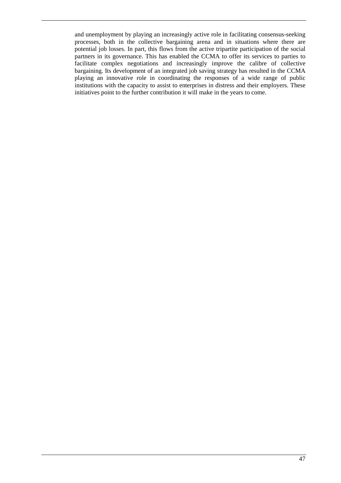and unemployment by playing an increasingly active role in facilitating consensus-seeking processes, both in the collective bargaining arena and in situations where there are potential job losses. In part, this flows from the active tripartite participation of the social partners in its governance. This has enabled the CCMA to offer its services to parties to facilitate complex negotiations and increasingly improve the calibre of collective bargaining. Its development of an integrated job saving strategy has resulted in the CCMA playing an innovative role in coordinating the responses of a wide range of public institutions with the capacity to assist to enterprises in distress and their employers. These initiatives point to the further contribution it will make in the years to come.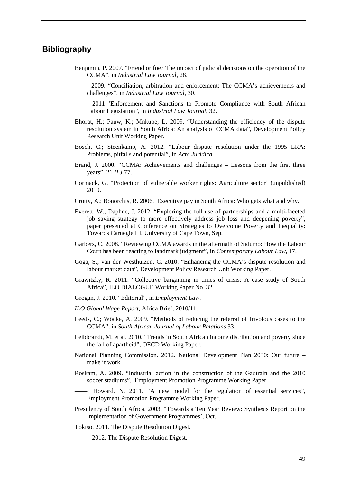## **Bibliography**

- Benjamin, P. 2007. "Friend or foe? The impact of judicial decisions on the operation of the CCMA", in *Industrial Law Journal*, 28.
- ––––. 2009. "Conciliation, arbitration and enforcement: The CCMA's achievements and challenges", in *Industrial Law Journal*, 30.
- ––––. 2011 'Enforcement and Sanctions to Promote Compliance with South African Labour Legislation", in *Industrial Law Journal*, 32.
- Bhorat, H.; Pauw, K.; Mnkube, L. 2009. "Understanding the efficiency of the dispute resolution system in South Africa: An analysis of CCMA data", Development Policy Research Unit Working Paper*.*
- Bosch, C.; Steenkamp, A. 2012. "Labour dispute resolution under the 1995 LRA: Problems, pitfalls and potential", in *Acta Juridica*.
- Brand, J. 2000. "CCMA: Achievements and challenges Lessons from the first three years", 21 *ILJ* 77.
- Cormack, G. "Protection of vulnerable worker rights: Agriculture sector' (unpublished) 2010.
- Crotty, A.; Bonorchis, R. 2006. Executive pay in South Africa: Who gets what and why.
- Everett, W.; Daphne, J. 2012. "Exploring the full use of partnerships and a multi-faceted job saving strategy to more effectively address job loss and deepening poverty", paper presented at Conference on Strategies to Overcome Poverty and Inequality: Towards Carnegie III, University of Cape Town, Sep.
- Garbers, C. 2008. "Reviewing CCMA awards in the aftermath of Sidumo: How the Labour Court has been reacting to landmark judgment", in *Contemporary Labour Law*, 17.
- Goga, S.; van der Westhuizen, C. 2010. "Enhancing the CCMA's dispute resolution and labour market data", Development Policy Research Unit Working Paper.
- Grawitzky, R. 2011. "Collective bargaining in times of crisis: A case study of South Africa", ILO DIALOGUE Working Paper No. 32.
- Grogan, J. 2010. "Editorial", in *Employment Law*.
- *ILO Global Wage Report*, Africa Brief, 2010/11.
- Leeds, C.; Wöcke, A. 2009. "Methods of reducing the referral of frivolous cases to the CCMA", in *South African Journal of Labour Relations* 33.
- Leibbrandt, M. et al. 2010. "Trends in South African income distribution and poverty since the fall of apartheid", OECD Working Paper.
- National Planning Commission. 2012. National Development Plan 2030: Our future make it work.
- Roskam, A. 2009. "Industrial action in the construction of the Gautrain and the 2010 soccer stadiums", Employment Promotion Programme Working Paper.
	- ––––; Howard, N. 2011. "A new model for the regulation of essential services", Employment Promotion Programme Working Paper.
- Presidency of South Africa. 2003. "Towards a Ten Year Review: Synthesis Report on the Implementation of Government Programmes', Oct.
- Tokiso. 2011. The Dispute Resolution Digest.
	- ––––. 2012. The Dispute Resolution Digest.